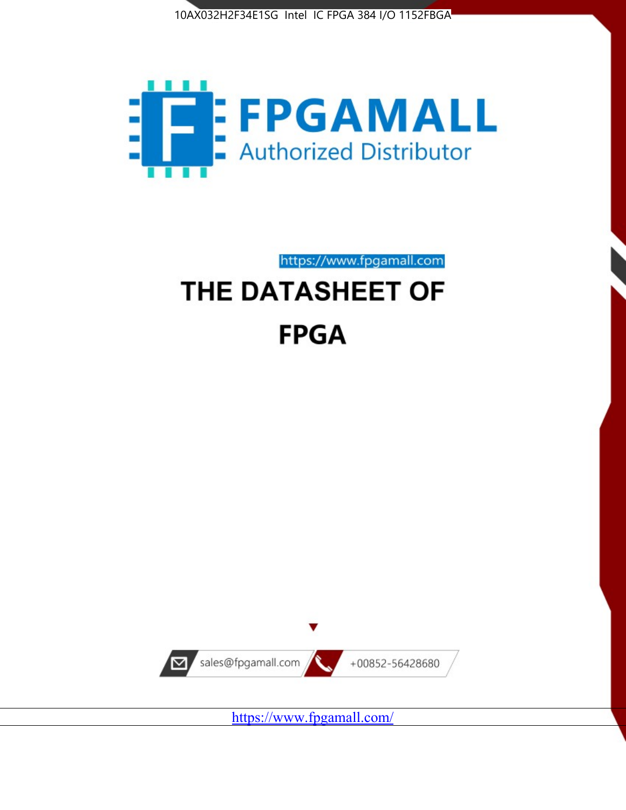



https://www.fpgamall.com

# THE DATASHEET OF **FPGA**



<https://www.fpgamall.com/>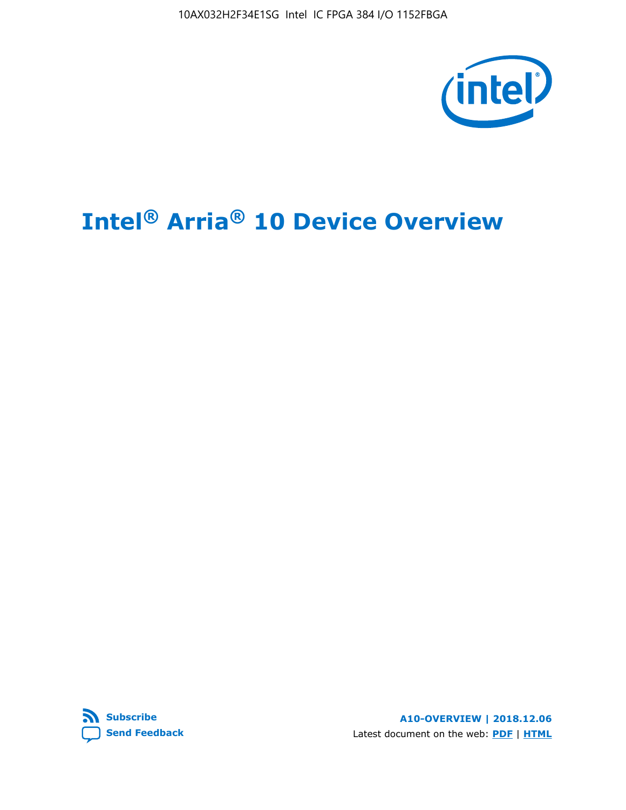10AX032H2F34E1SG Intel IC FPGA 384 I/O 1152FBGA



# **Intel® Arria® 10 Device Overview**



**A10-OVERVIEW | 2018.12.06** Latest document on the web: **[PDF](https://www.intel.com/content/dam/www/programmable/us/en/pdfs/literature/hb/arria-10/a10_overview.pdf)** | **[HTML](https://www.intel.com/content/www/us/en/programmable/documentation/sam1403480274650.html)**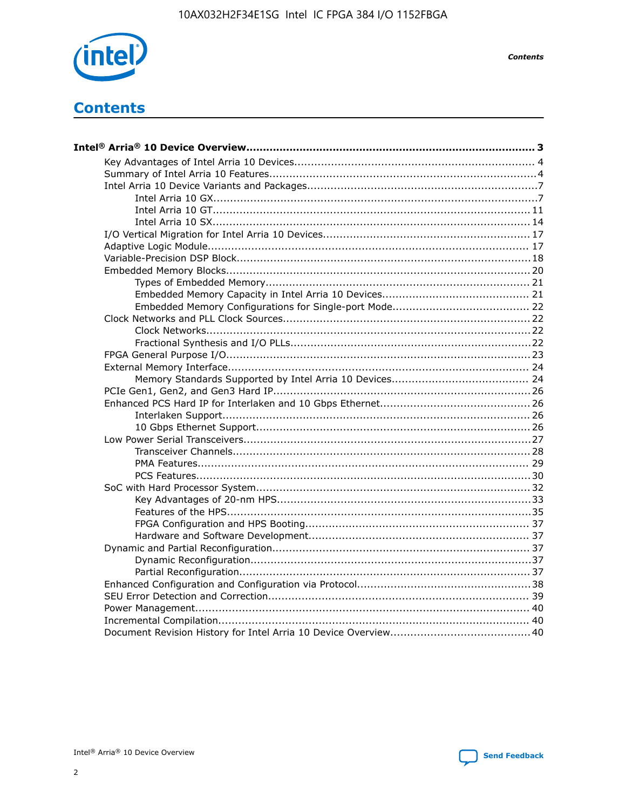

**Contents** 

# **Contents**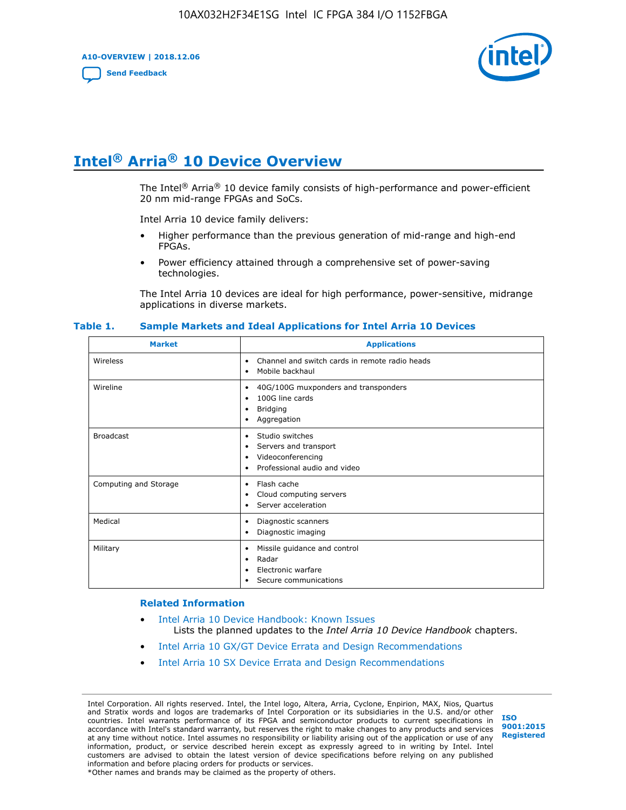**A10-OVERVIEW | 2018.12.06**

**[Send Feedback](mailto:FPGAtechdocfeedback@intel.com?subject=Feedback%20on%20Intel%20Arria%2010%20Device%20Overview%20(A10-OVERVIEW%202018.12.06)&body=We%20appreciate%20your%20feedback.%20In%20your%20comments,%20also%20specify%20the%20page%20number%20or%20paragraph.%20Thank%20you.)**



# **Intel® Arria® 10 Device Overview**

The Intel<sup>®</sup> Arria<sup>®</sup> 10 device family consists of high-performance and power-efficient 20 nm mid-range FPGAs and SoCs.

Intel Arria 10 device family delivers:

- Higher performance than the previous generation of mid-range and high-end FPGAs.
- Power efficiency attained through a comprehensive set of power-saving technologies.

The Intel Arria 10 devices are ideal for high performance, power-sensitive, midrange applications in diverse markets.

| <b>Market</b>         | <b>Applications</b>                                                                                               |
|-----------------------|-------------------------------------------------------------------------------------------------------------------|
| Wireless              | Channel and switch cards in remote radio heads<br>٠<br>Mobile backhaul<br>٠                                       |
| Wireline              | 40G/100G muxponders and transponders<br>٠<br>100G line cards<br>٠<br><b>Bridging</b><br>٠<br>Aggregation<br>٠     |
| <b>Broadcast</b>      | Studio switches<br>٠<br>Servers and transport<br>٠<br>Videoconferencing<br>٠<br>Professional audio and video<br>٠ |
| Computing and Storage | Flash cache<br>٠<br>Cloud computing servers<br>٠<br>Server acceleration<br>٠                                      |
| Medical               | Diagnostic scanners<br>٠<br>Diagnostic imaging<br>٠                                                               |
| Military              | Missile guidance and control<br>٠<br>Radar<br>٠<br>Electronic warfare<br>٠<br>Secure communications<br>٠          |

#### **Table 1. Sample Markets and Ideal Applications for Intel Arria 10 Devices**

#### **Related Information**

- [Intel Arria 10 Device Handbook: Known Issues](http://www.altera.com/support/kdb/solutions/rd07302013_646.html) Lists the planned updates to the *Intel Arria 10 Device Handbook* chapters.
- [Intel Arria 10 GX/GT Device Errata and Design Recommendations](https://www.intel.com/content/www/us/en/programmable/documentation/agz1493851706374.html#yqz1494433888646)
- [Intel Arria 10 SX Device Errata and Design Recommendations](https://www.intel.com/content/www/us/en/programmable/documentation/cru1462832385668.html#cru1462832558642)

Intel Corporation. All rights reserved. Intel, the Intel logo, Altera, Arria, Cyclone, Enpirion, MAX, Nios, Quartus and Stratix words and logos are trademarks of Intel Corporation or its subsidiaries in the U.S. and/or other countries. Intel warrants performance of its FPGA and semiconductor products to current specifications in accordance with Intel's standard warranty, but reserves the right to make changes to any products and services at any time without notice. Intel assumes no responsibility or liability arising out of the application or use of any information, product, or service described herein except as expressly agreed to in writing by Intel. Intel customers are advised to obtain the latest version of device specifications before relying on any published information and before placing orders for products or services. \*Other names and brands may be claimed as the property of others.

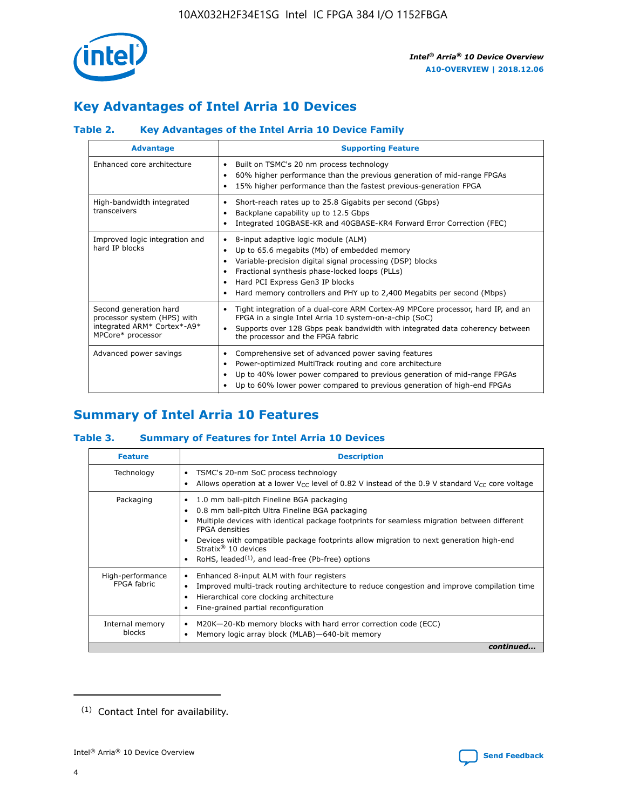

# **Key Advantages of Intel Arria 10 Devices**

## **Table 2. Key Advantages of the Intel Arria 10 Device Family**

| <b>Advantage</b>                                                                                          | <b>Supporting Feature</b>                                                                                                                                                                                                                                                                                                     |
|-----------------------------------------------------------------------------------------------------------|-------------------------------------------------------------------------------------------------------------------------------------------------------------------------------------------------------------------------------------------------------------------------------------------------------------------------------|
| Enhanced core architecture                                                                                | Built on TSMC's 20 nm process technology<br>٠<br>60% higher performance than the previous generation of mid-range FPGAs<br>٠<br>15% higher performance than the fastest previous-generation FPGA<br>٠                                                                                                                         |
| High-bandwidth integrated<br>transceivers                                                                 | Short-reach rates up to 25.8 Gigabits per second (Gbps)<br>٠<br>Backplane capability up to 12.5 Gbps<br>٠<br>Integrated 10GBASE-KR and 40GBASE-KR4 Forward Error Correction (FEC)<br>٠                                                                                                                                        |
| Improved logic integration and<br>hard IP blocks                                                          | 8-input adaptive logic module (ALM)<br>٠<br>Up to 65.6 megabits (Mb) of embedded memory<br>٠<br>Variable-precision digital signal processing (DSP) blocks<br>Fractional synthesis phase-locked loops (PLLs)<br>٠<br>Hard PCI Express Gen3 IP blocks<br>Hard memory controllers and PHY up to 2,400 Megabits per second (Mbps) |
| Second generation hard<br>processor system (HPS) with<br>integrated ARM* Cortex*-A9*<br>MPCore* processor | Tight integration of a dual-core ARM Cortex-A9 MPCore processor, hard IP, and an<br>٠<br>FPGA in a single Intel Arria 10 system-on-a-chip (SoC)<br>Supports over 128 Gbps peak bandwidth with integrated data coherency between<br>$\bullet$<br>the processor and the FPGA fabric                                             |
| Advanced power savings                                                                                    | Comprehensive set of advanced power saving features<br>٠<br>Power-optimized MultiTrack routing and core architecture<br>٠<br>Up to 40% lower power compared to previous generation of mid-range FPGAs<br>Up to 60% lower power compared to previous generation of high-end FPGAs<br>٠                                         |

# **Summary of Intel Arria 10 Features**

## **Table 3. Summary of Features for Intel Arria 10 Devices**

| <b>Feature</b>                  | <b>Description</b>                                                                                                                                                                                                                                                                                                                                                                                       |
|---------------------------------|----------------------------------------------------------------------------------------------------------------------------------------------------------------------------------------------------------------------------------------------------------------------------------------------------------------------------------------------------------------------------------------------------------|
| Technology                      | TSMC's 20-nm SoC process technology<br>٠<br>Allows operation at a lower $V_{\text{CC}}$ level of 0.82 V instead of the 0.9 V standard $V_{\text{CC}}$ core voltage                                                                                                                                                                                                                                       |
| Packaging                       | 1.0 mm ball-pitch Fineline BGA packaging<br>0.8 mm ball-pitch Ultra Fineline BGA packaging<br>Multiple devices with identical package footprints for seamless migration between different<br><b>FPGA</b> densities<br>Devices with compatible package footprints allow migration to next generation high-end<br>Stratix $\mathcal{R}$ 10 devices<br>RoHS, leaded $(1)$ , and lead-free (Pb-free) options |
| High-performance<br>FPGA fabric | Enhanced 8-input ALM with four registers<br>٠<br>Improved multi-track routing architecture to reduce congestion and improve compilation time<br>Hierarchical core clocking architecture<br>Fine-grained partial reconfiguration                                                                                                                                                                          |
| Internal memory<br>blocks       | M20K-20-Kb memory blocks with hard error correction code (ECC)<br>Memory logic array block (MLAB)-640-bit memory                                                                                                                                                                                                                                                                                         |
|                                 | continued                                                                                                                                                                                                                                                                                                                                                                                                |



<sup>(1)</sup> Contact Intel for availability.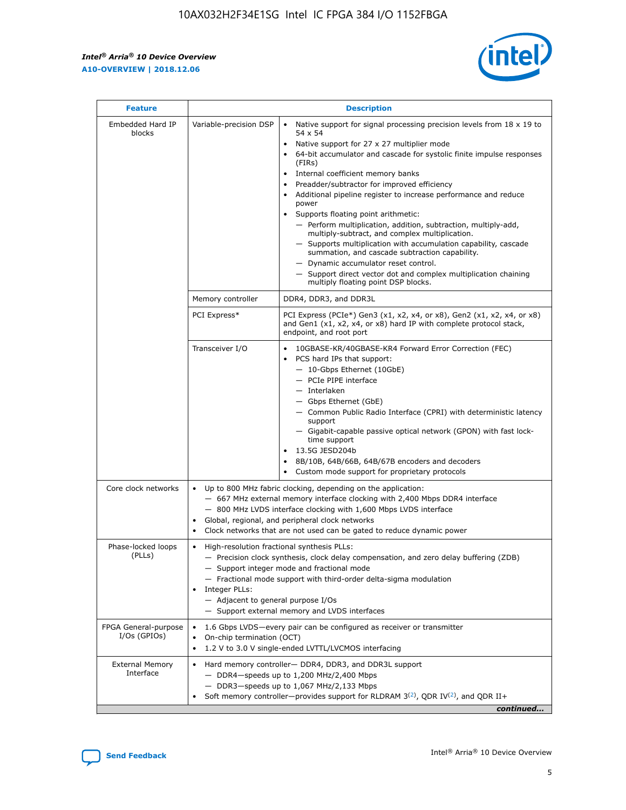$\mathbf{r}$ 



| <b>Feature</b>                         | <b>Description</b>                                                                                     |                                                                                                                                                                                                                                                                                                                                                                                                                                                                                                                                                                                                                                                                                                                                                                                                                                                                               |  |  |  |  |  |
|----------------------------------------|--------------------------------------------------------------------------------------------------------|-------------------------------------------------------------------------------------------------------------------------------------------------------------------------------------------------------------------------------------------------------------------------------------------------------------------------------------------------------------------------------------------------------------------------------------------------------------------------------------------------------------------------------------------------------------------------------------------------------------------------------------------------------------------------------------------------------------------------------------------------------------------------------------------------------------------------------------------------------------------------------|--|--|--|--|--|
| Embedded Hard IP<br>blocks             | Variable-precision DSP                                                                                 | Native support for signal processing precision levels from $18 \times 19$ to<br>$\bullet$<br>54 x 54<br>Native support for 27 x 27 multiplier mode<br>$\bullet$<br>64-bit accumulator and cascade for systolic finite impulse responses<br>$\bullet$<br>(FIRs)<br>Internal coefficient memory banks<br>$\bullet$<br>Preadder/subtractor for improved efficiency<br>Additional pipeline register to increase performance and reduce<br>power<br>Supports floating point arithmetic:<br>- Perform multiplication, addition, subtraction, multiply-add,<br>multiply-subtract, and complex multiplication.<br>- Supports multiplication with accumulation capability, cascade<br>summation, and cascade subtraction capability.<br>- Dynamic accumulator reset control.<br>- Support direct vector dot and complex multiplication chaining<br>multiply floating point DSP blocks. |  |  |  |  |  |
|                                        | Memory controller                                                                                      | DDR4, DDR3, and DDR3L                                                                                                                                                                                                                                                                                                                                                                                                                                                                                                                                                                                                                                                                                                                                                                                                                                                         |  |  |  |  |  |
|                                        | PCI Express*                                                                                           | PCI Express (PCIe*) Gen3 (x1, x2, x4, or x8), Gen2 (x1, x2, x4, or x8)<br>and Gen1 (x1, x2, x4, or x8) hard IP with complete protocol stack,<br>endpoint, and root port                                                                                                                                                                                                                                                                                                                                                                                                                                                                                                                                                                                                                                                                                                       |  |  |  |  |  |
|                                        | Transceiver I/O                                                                                        | 10GBASE-KR/40GBASE-KR4 Forward Error Correction (FEC)<br>PCS hard IPs that support:<br>٠<br>- 10-Gbps Ethernet (10GbE)<br>- PCIe PIPE interface<br>- Interlaken<br>- Gbps Ethernet (GbE)<br>- Common Public Radio Interface (CPRI) with deterministic latency<br>support<br>- Gigabit-capable passive optical network (GPON) with fast lock-<br>time support<br>13.5G JESD204b<br>$\bullet$<br>8B/10B, 64B/66B, 64B/67B encoders and decoders<br>$\bullet$<br>Custom mode support for proprietary protocols                                                                                                                                                                                                                                                                                                                                                                   |  |  |  |  |  |
| Core clock networks                    | $\bullet$                                                                                              | Up to 800 MHz fabric clocking, depending on the application:<br>- 667 MHz external memory interface clocking with 2,400 Mbps DDR4 interface<br>- 800 MHz LVDS interface clocking with 1,600 Mbps LVDS interface<br>Global, regional, and peripheral clock networks<br>Clock networks that are not used can be gated to reduce dynamic power                                                                                                                                                                                                                                                                                                                                                                                                                                                                                                                                   |  |  |  |  |  |
| Phase-locked loops<br>(PLLs)           | High-resolution fractional synthesis PLLs:<br>٠<br>Integer PLLs:<br>- Adjacent to general purpose I/Os | - Precision clock synthesis, clock delay compensation, and zero delay buffering (ZDB)<br>- Support integer mode and fractional mode<br>- Fractional mode support with third-order delta-sigma modulation<br>- Support external memory and LVDS interfaces                                                                                                                                                                                                                                                                                                                                                                                                                                                                                                                                                                                                                     |  |  |  |  |  |
| FPGA General-purpose<br>$I/Os$ (GPIOs) | On-chip termination (OCT)<br>٠                                                                         | 1.6 Gbps LVDS-every pair can be configured as receiver or transmitter<br>1.2 V to 3.0 V single-ended LVTTL/LVCMOS interfacing                                                                                                                                                                                                                                                                                                                                                                                                                                                                                                                                                                                                                                                                                                                                                 |  |  |  |  |  |
| <b>External Memory</b><br>Interface    | $\bullet$                                                                                              | Hard memory controller- DDR4, DDR3, and DDR3L support<br>- DDR4-speeds up to 1,200 MHz/2,400 Mbps<br>- DDR3-speeds up to 1,067 MHz/2,133 Mbps<br>Soft memory controller—provides support for RLDRAM $3^{(2)}$ , QDR IV $^{(2)}$ , and QDR II+<br>continued                                                                                                                                                                                                                                                                                                                                                                                                                                                                                                                                                                                                                    |  |  |  |  |  |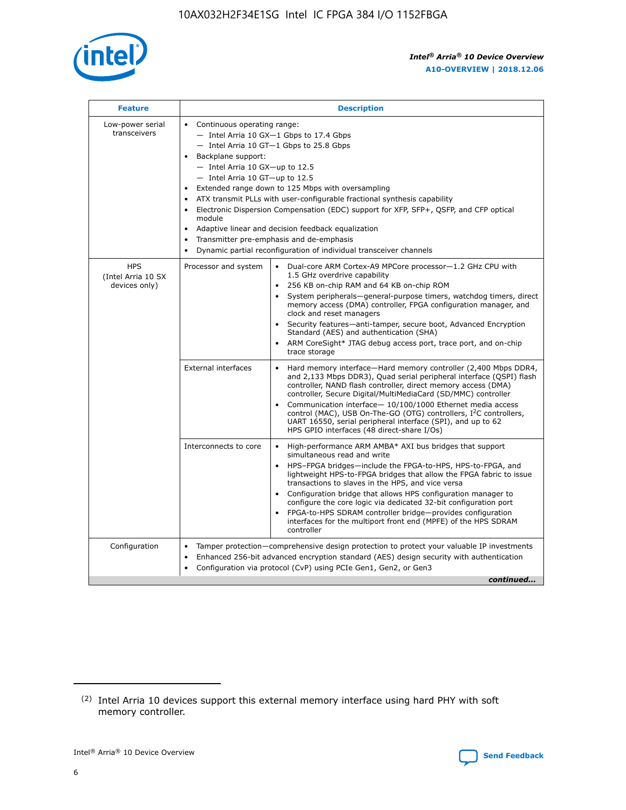

| <b>Feature</b>                                    | <b>Description</b>                                                                                                                                                                                                                                                                                                                                                                                                                                                                                                                                                                                                                                  |  |  |  |  |  |  |  |
|---------------------------------------------------|-----------------------------------------------------------------------------------------------------------------------------------------------------------------------------------------------------------------------------------------------------------------------------------------------------------------------------------------------------------------------------------------------------------------------------------------------------------------------------------------------------------------------------------------------------------------------------------------------------------------------------------------------------|--|--|--|--|--|--|--|
| Low-power serial<br>transceivers                  | • Continuous operating range:<br>- Intel Arria 10 GX-1 Gbps to 17.4 Gbps<br>- Intel Arria 10 GT-1 Gbps to 25.8 Gbps<br>Backplane support:<br>- Intel Arria 10 GX-up to 12.5<br>- Intel Arria 10 GT-up to 12.5<br>Extended range down to 125 Mbps with oversampling<br>ATX transmit PLLs with user-configurable fractional synthesis capability<br>Electronic Dispersion Compensation (EDC) support for XFP, SFP+, QSFP, and CFP optical<br>module<br>Adaptive linear and decision feedback equalization<br>$\bullet$<br>Transmitter pre-emphasis and de-emphasis<br>$\bullet$<br>Dynamic partial reconfiguration of individual transceiver channels |  |  |  |  |  |  |  |
| <b>HPS</b><br>(Intel Arria 10 SX<br>devices only) | Dual-core ARM Cortex-A9 MPCore processor-1.2 GHz CPU with<br>Processor and system<br>$\bullet$<br>1.5 GHz overdrive capability<br>256 KB on-chip RAM and 64 KB on-chip ROM<br>System peripherals—general-purpose timers, watchdog timers, direct<br>memory access (DMA) controller, FPGA configuration manager, and<br>clock and reset managers<br>Security features-anti-tamper, secure boot, Advanced Encryption<br>Standard (AES) and authentication (SHA)<br>ARM CoreSight* JTAG debug access port, trace port, and on-chip<br>trace storage                                                                                                    |  |  |  |  |  |  |  |
|                                                   | <b>External interfaces</b><br>Hard memory interface-Hard memory controller (2,400 Mbps DDR4,<br>$\bullet$<br>and 2,133 Mbps DDR3), Quad serial peripheral interface (QSPI) flash<br>controller, NAND flash controller, direct memory access (DMA)<br>controller, Secure Digital/MultiMediaCard (SD/MMC) controller<br>Communication interface-10/100/1000 Ethernet media access<br>control (MAC), USB On-The-GO (OTG) controllers, I <sup>2</sup> C controllers,<br>UART 16550, serial peripheral interface (SPI), and up to 62<br>HPS GPIO interfaces (48 direct-share I/Os)                                                                       |  |  |  |  |  |  |  |
|                                                   | High-performance ARM AMBA* AXI bus bridges that support<br>Interconnects to core<br>$\bullet$<br>simultaneous read and write<br>HPS-FPGA bridges-include the FPGA-to-HPS, HPS-to-FPGA, and<br>$\bullet$<br>lightweight HPS-to-FPGA bridges that allow the FPGA fabric to issue<br>transactions to slaves in the HPS, and vice versa<br>Configuration bridge that allows HPS configuration manager to<br>configure the core logic via dedicated 32-bit configuration port<br>FPGA-to-HPS SDRAM controller bridge-provides configuration<br>interfaces for the multiport front end (MPFE) of the HPS SDRAM<br>controller                              |  |  |  |  |  |  |  |
| Configuration                                     | Tamper protection—comprehensive design protection to protect your valuable IP investments<br>Enhanced 256-bit advanced encryption standard (AES) design security with authentication<br>٠<br>Configuration via protocol (CvP) using PCIe Gen1, Gen2, or Gen3<br>continued                                                                                                                                                                                                                                                                                                                                                                           |  |  |  |  |  |  |  |

<sup>(2)</sup> Intel Arria 10 devices support this external memory interface using hard PHY with soft memory controller.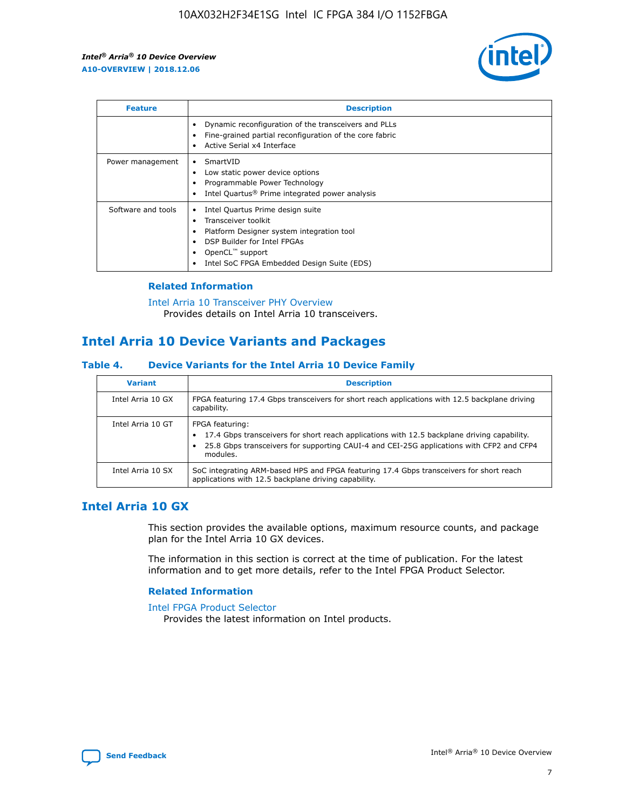

| <b>Feature</b>     | <b>Description</b>                                                                                                                                                                                               |
|--------------------|------------------------------------------------------------------------------------------------------------------------------------------------------------------------------------------------------------------|
|                    | Dynamic reconfiguration of the transceivers and PLLs<br>Fine-grained partial reconfiguration of the core fabric<br>Active Serial x4 Interface<br>$\bullet$                                                       |
| Power management   | SmartVID<br>Low static power device options<br>Programmable Power Technology<br>Intel Quartus <sup>®</sup> Prime integrated power analysis                                                                       |
| Software and tools | Intel Quartus Prime design suite<br>Transceiver toolkit<br>Platform Designer system integration tool<br>DSP Builder for Intel FPGAs<br>OpenCL <sup>™</sup> support<br>Intel SoC FPGA Embedded Design Suite (EDS) |

## **Related Information**

[Intel Arria 10 Transceiver PHY Overview](https://www.intel.com/content/www/us/en/programmable/documentation/nik1398707230472.html#nik1398706768037) Provides details on Intel Arria 10 transceivers.

## **Intel Arria 10 Device Variants and Packages**

#### **Table 4. Device Variants for the Intel Arria 10 Device Family**

| <b>Variant</b>    | <b>Description</b>                                                                                                                                                                                                     |
|-------------------|------------------------------------------------------------------------------------------------------------------------------------------------------------------------------------------------------------------------|
| Intel Arria 10 GX | FPGA featuring 17.4 Gbps transceivers for short reach applications with 12.5 backplane driving<br>capability.                                                                                                          |
| Intel Arria 10 GT | FPGA featuring:<br>17.4 Gbps transceivers for short reach applications with 12.5 backplane driving capability.<br>25.8 Gbps transceivers for supporting CAUI-4 and CEI-25G applications with CFP2 and CFP4<br>modules. |
| Intel Arria 10 SX | SoC integrating ARM-based HPS and FPGA featuring 17.4 Gbps transceivers for short reach<br>applications with 12.5 backplane driving capability.                                                                        |

## **Intel Arria 10 GX**

This section provides the available options, maximum resource counts, and package plan for the Intel Arria 10 GX devices.

The information in this section is correct at the time of publication. For the latest information and to get more details, refer to the Intel FPGA Product Selector.

#### **Related Information**

#### [Intel FPGA Product Selector](http://www.altera.com/products/selector/psg-selector.html) Provides the latest information on Intel products.

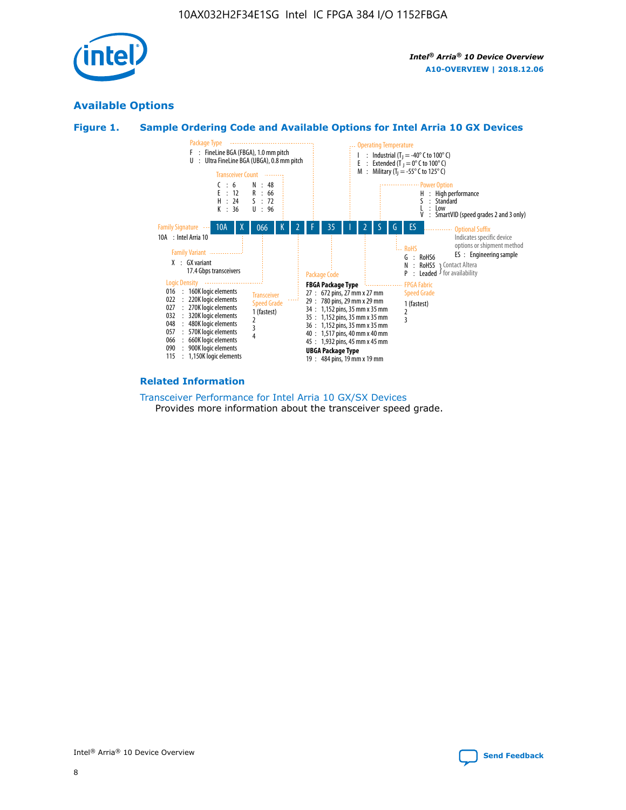

## **Available Options**





#### **Related Information**

[Transceiver Performance for Intel Arria 10 GX/SX Devices](https://www.intel.com/content/www/us/en/programmable/documentation/mcn1413182292568.html#mcn1413213965502) Provides more information about the transceiver speed grade.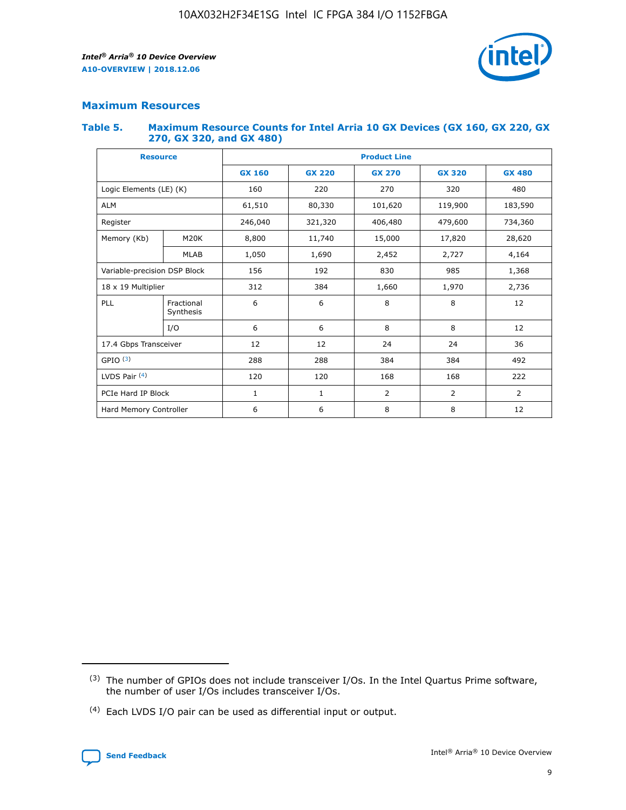

## **Maximum Resources**

#### **Table 5. Maximum Resource Counts for Intel Arria 10 GX Devices (GX 160, GX 220, GX 270, GX 320, and GX 480)**

| <b>Resource</b>              |                         | <b>Product Line</b> |                                                 |                |                |                |  |  |  |
|------------------------------|-------------------------|---------------------|-------------------------------------------------|----------------|----------------|----------------|--|--|--|
|                              |                         | <b>GX 160</b>       | <b>GX 220</b><br><b>GX 270</b><br><b>GX 320</b> |                |                | <b>GX 480</b>  |  |  |  |
| Logic Elements (LE) (K)      |                         | 160                 | 220                                             | 270            | 320            | 480            |  |  |  |
| <b>ALM</b>                   |                         | 61,510              | 80,330                                          | 101,620        | 119,900        | 183,590        |  |  |  |
| Register                     |                         | 246,040             | 406,480<br>321,320                              |                | 479,600        | 734,360        |  |  |  |
| Memory (Kb)                  | M <sub>20</sub> K       | 8,800               | 11,740                                          | 15,000         | 17,820         | 28,620         |  |  |  |
|                              | <b>MLAB</b>             | 1,050               | 1,690                                           | 2,452          | 2,727          | 4,164          |  |  |  |
| Variable-precision DSP Block |                         | 156                 | 192                                             | 830            | 985            | 1,368          |  |  |  |
| 18 x 19 Multiplier           |                         | 312                 | 384                                             | 1,970<br>1,660 |                | 2,736          |  |  |  |
| PLL                          | Fractional<br>Synthesis | 6                   | 6                                               | 8              | 8              | 12             |  |  |  |
|                              | I/O                     | 6                   | 6                                               | 8              | 8              | 12             |  |  |  |
| 17.4 Gbps Transceiver        |                         | 12                  | 12                                              | 24             | 24             | 36             |  |  |  |
| GPIO <sup>(3)</sup>          |                         | 288                 | 288                                             | 384            | 384            |                |  |  |  |
| LVDS Pair $(4)$              |                         | 120                 | 120                                             | 168            | 168            | 222            |  |  |  |
| PCIe Hard IP Block           |                         | 1                   | 1                                               | 2              | $\overline{2}$ | $\overline{2}$ |  |  |  |
| Hard Memory Controller       |                         | 6                   | 6                                               | 8              | 8              | 12             |  |  |  |

<sup>(4)</sup> Each LVDS I/O pair can be used as differential input or output.



<sup>(3)</sup> The number of GPIOs does not include transceiver I/Os. In the Intel Quartus Prime software, the number of user I/Os includes transceiver I/Os.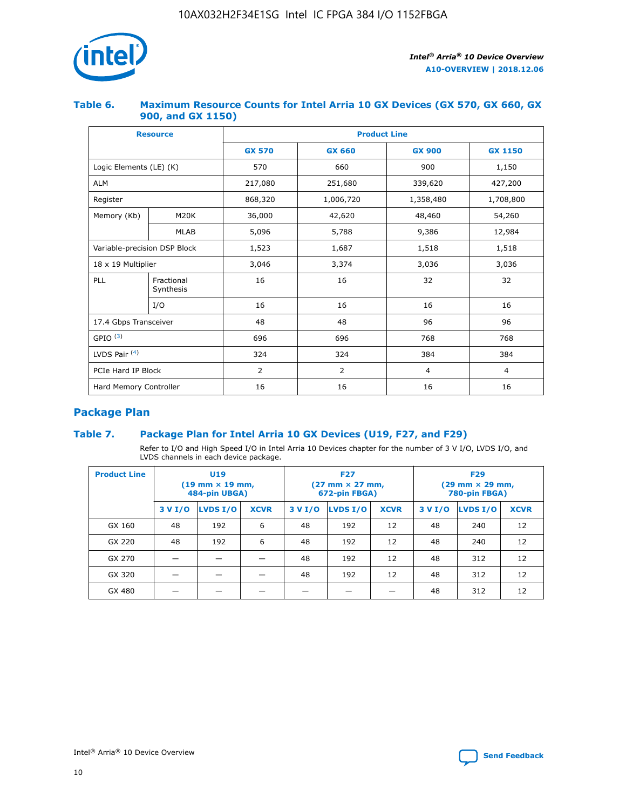

## **Table 6. Maximum Resource Counts for Intel Arria 10 GX Devices (GX 570, GX 660, GX 900, and GX 1150)**

|                              | <b>Resource</b>         | <b>Product Line</b> |                |                |                |  |  |  |
|------------------------------|-------------------------|---------------------|----------------|----------------|----------------|--|--|--|
|                              |                         | <b>GX 570</b>       | <b>GX 660</b>  | <b>GX 900</b>  | <b>GX 1150</b> |  |  |  |
| Logic Elements (LE) (K)      |                         | 570                 | 660            | 900            | 1,150          |  |  |  |
| <b>ALM</b>                   |                         | 217,080             | 251,680        | 339,620        | 427,200        |  |  |  |
| Register                     |                         | 868,320             | 1,006,720      |                | 1,708,800      |  |  |  |
| Memory (Kb)                  | <b>M20K</b>             | 36,000              | 42,620         | 48,460         | 54,260         |  |  |  |
|                              | <b>MLAB</b>             | 5,096               | 5,788          |                | 12,984         |  |  |  |
| Variable-precision DSP Block |                         | 1,523               | 1,687          | 1,518          | 1,518          |  |  |  |
| $18 \times 19$ Multiplier    |                         | 3,046               | 3,374          | 3,036          | 3,036          |  |  |  |
| PLL                          | Fractional<br>Synthesis | 16                  | 16             | 32             | 32             |  |  |  |
|                              | I/O                     | 16                  | 16             | 16             | 16             |  |  |  |
| 17.4 Gbps Transceiver        |                         | 48                  | 96<br>48       |                | 96             |  |  |  |
| GPIO <sup>(3)</sup>          |                         | 696                 | 696            | 768            | 768            |  |  |  |
| LVDS Pair $(4)$              |                         | 324                 | 324            | 384            | 384            |  |  |  |
| PCIe Hard IP Block           |                         | $\overline{2}$      | $\overline{2}$ | $\overline{4}$ | $\overline{4}$ |  |  |  |
| Hard Memory Controller       |                         | 16                  | 16             | 16             | 16             |  |  |  |

## **Package Plan**

## **Table 7. Package Plan for Intel Arria 10 GX Devices (U19, F27, and F29)**

Refer to I/O and High Speed I/O in Intel Arria 10 Devices chapter for the number of 3 V I/O, LVDS I/O, and LVDS channels in each device package.

| <b>Product Line</b> | <b>U19</b><br>$(19 \text{ mm} \times 19 \text{ mm})$<br>484-pin UBGA) |          |             |         | <b>F27</b><br>(27 mm × 27 mm,<br>672-pin FBGA) |             | <b>F29</b><br>(29 mm × 29 mm,<br>780-pin FBGA) |          |             |  |
|---------------------|-----------------------------------------------------------------------|----------|-------------|---------|------------------------------------------------|-------------|------------------------------------------------|----------|-------------|--|
|                     | 3 V I/O                                                               | LVDS I/O | <b>XCVR</b> | 3 V I/O | LVDS I/O                                       | <b>XCVR</b> | 3 V I/O                                        | LVDS I/O | <b>XCVR</b> |  |
| GX 160              | 48                                                                    | 192      | 6           | 48      | 192                                            | 12          | 48                                             | 240      | 12          |  |
| GX 220              | 48                                                                    | 192      | 6           | 48      | 192                                            | 12          | 48                                             | 240      | 12          |  |
| GX 270              |                                                                       |          |             | 48      | 192                                            | 12          | 48                                             | 312      | 12          |  |
| GX 320              |                                                                       |          |             | 48      | 192                                            | 12          | 48                                             | 312      | 12          |  |
| GX 480              |                                                                       |          |             |         |                                                |             | 48                                             | 312      | 12          |  |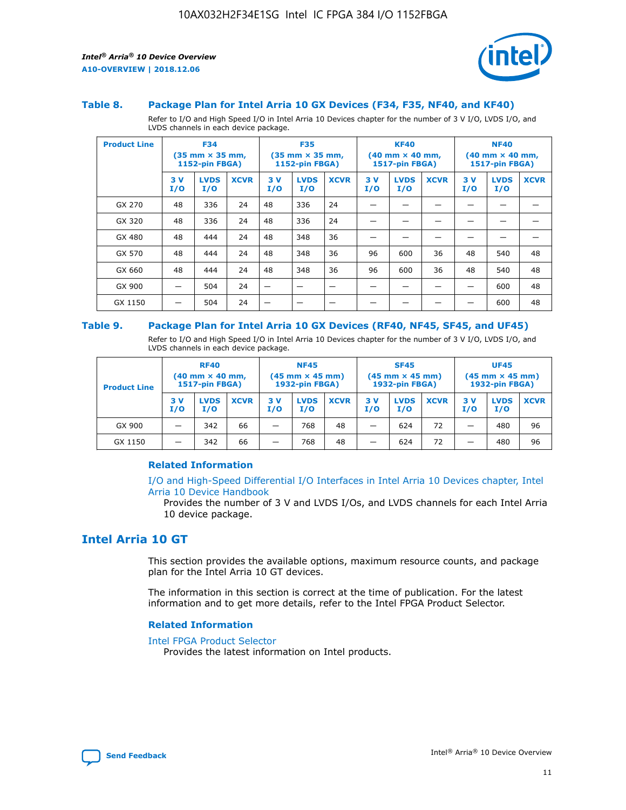

#### **Table 8. Package Plan for Intel Arria 10 GX Devices (F34, F35, NF40, and KF40)**

Refer to I/O and High Speed I/O in Intel Arria 10 Devices chapter for the number of 3 V I/O, LVDS I/O, and LVDS channels in each device package.

| <b>Product Line</b> | <b>F34</b><br>$(35 \text{ mm} \times 35 \text{ mm})$<br>1152-pin FBGA) |                    | <b>F35</b><br>$(35 \text{ mm} \times 35 \text{ mm})$<br><b>1152-pin FBGA)</b> |           | <b>KF40</b><br>$(40$ mm $\times$ 40 mm,<br>1517-pin FBGA) |             |           | <b>NF40</b><br>$(40$ mm $\times$ 40 mm,<br><b>1517-pin FBGA)</b> |             |            |                    |             |
|---------------------|------------------------------------------------------------------------|--------------------|-------------------------------------------------------------------------------|-----------|-----------------------------------------------------------|-------------|-----------|------------------------------------------------------------------|-------------|------------|--------------------|-------------|
|                     | 3V<br>I/O                                                              | <b>LVDS</b><br>I/O | <b>XCVR</b>                                                                   | 3V<br>I/O | <b>LVDS</b><br>I/O                                        | <b>XCVR</b> | 3V<br>I/O | <b>LVDS</b><br>I/O                                               | <b>XCVR</b> | 3 V<br>I/O | <b>LVDS</b><br>I/O | <b>XCVR</b> |
| GX 270              | 48                                                                     | 336                | 24                                                                            | 48        | 336                                                       | 24          |           |                                                                  |             |            |                    |             |
| GX 320              | 48                                                                     | 336                | 24                                                                            | 48        | 336                                                       | 24          |           |                                                                  |             |            |                    |             |
| GX 480              | 48                                                                     | 444                | 24                                                                            | 48        | 348                                                       | 36          |           |                                                                  |             |            |                    |             |
| GX 570              | 48                                                                     | 444                | 24                                                                            | 48        | 348                                                       | 36          | 96        | 600                                                              | 36          | 48         | 540                | 48          |
| GX 660              | 48                                                                     | 444                | 24                                                                            | 48        | 348                                                       | 36          | 96        | 600                                                              | 36          | 48         | 540                | 48          |
| GX 900              |                                                                        | 504                | 24                                                                            | -         |                                                           |             |           |                                                                  |             |            | 600                | 48          |
| GX 1150             |                                                                        | 504                | 24                                                                            |           |                                                           |             |           |                                                                  |             |            | 600                | 48          |

#### **Table 9. Package Plan for Intel Arria 10 GX Devices (RF40, NF45, SF45, and UF45)**

Refer to I/O and High Speed I/O in Intel Arria 10 Devices chapter for the number of 3 V I/O, LVDS I/O, and LVDS channels in each device package.

| <b>Product Line</b> | <b>RF40</b><br>$(40$ mm $\times$ 40 mm,<br>1517-pin FBGA) |                    |             | <b>NF45</b><br>$(45 \text{ mm} \times 45 \text{ mm})$<br><b>1932-pin FBGA)</b> |                    |             | <b>SF45</b><br>$(45 \text{ mm} \times 45 \text{ mm})$<br><b>1932-pin FBGA)</b> |                    |             | <b>UF45</b><br>$(45 \text{ mm} \times 45 \text{ mm})$<br><b>1932-pin FBGA)</b> |                    |             |
|---------------------|-----------------------------------------------------------|--------------------|-------------|--------------------------------------------------------------------------------|--------------------|-------------|--------------------------------------------------------------------------------|--------------------|-------------|--------------------------------------------------------------------------------|--------------------|-------------|
|                     | 3V<br>I/O                                                 | <b>LVDS</b><br>I/O | <b>XCVR</b> | 3 V<br>I/O                                                                     | <b>LVDS</b><br>I/O | <b>XCVR</b> | 3 V<br>I/O                                                                     | <b>LVDS</b><br>I/O | <b>XCVR</b> | 3V<br>I/O                                                                      | <b>LVDS</b><br>I/O | <b>XCVR</b> |
| GX 900              |                                                           | 342                | 66          | _                                                                              | 768                | 48          |                                                                                | 624                | 72          |                                                                                | 480                | 96          |
| GX 1150             |                                                           | 342                | 66          | _                                                                              | 768                | 48          |                                                                                | 624                | 72          |                                                                                | 480                | 96          |

#### **Related Information**

[I/O and High-Speed Differential I/O Interfaces in Intel Arria 10 Devices chapter, Intel](https://www.intel.com/content/www/us/en/programmable/documentation/sam1403482614086.html#sam1403482030321) [Arria 10 Device Handbook](https://www.intel.com/content/www/us/en/programmable/documentation/sam1403482614086.html#sam1403482030321)

Provides the number of 3 V and LVDS I/Os, and LVDS channels for each Intel Arria 10 device package.

## **Intel Arria 10 GT**

This section provides the available options, maximum resource counts, and package plan for the Intel Arria 10 GT devices.

The information in this section is correct at the time of publication. For the latest information and to get more details, refer to the Intel FPGA Product Selector.

#### **Related Information**

#### [Intel FPGA Product Selector](http://www.altera.com/products/selector/psg-selector.html)

Provides the latest information on Intel products.

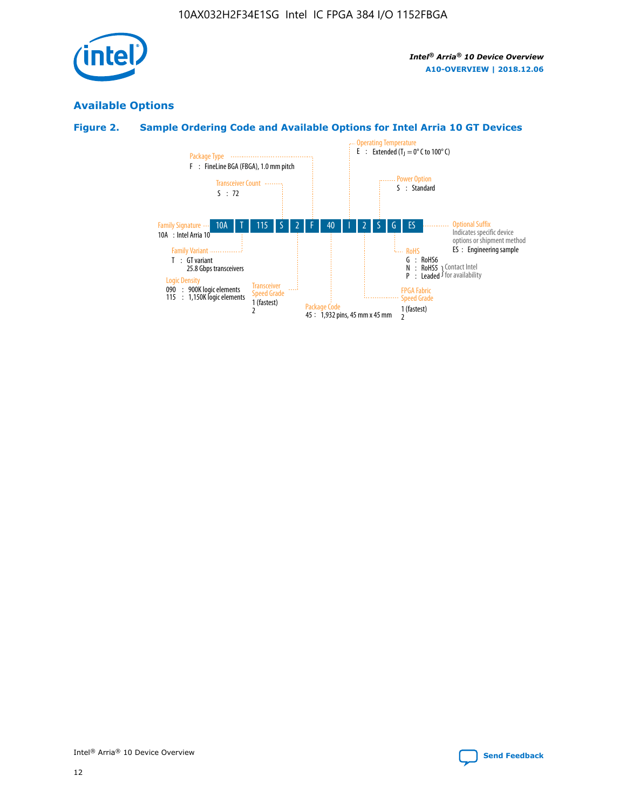

## **Available Options**

## **Figure 2. Sample Ordering Code and Available Options for Intel Arria 10 GT Devices**

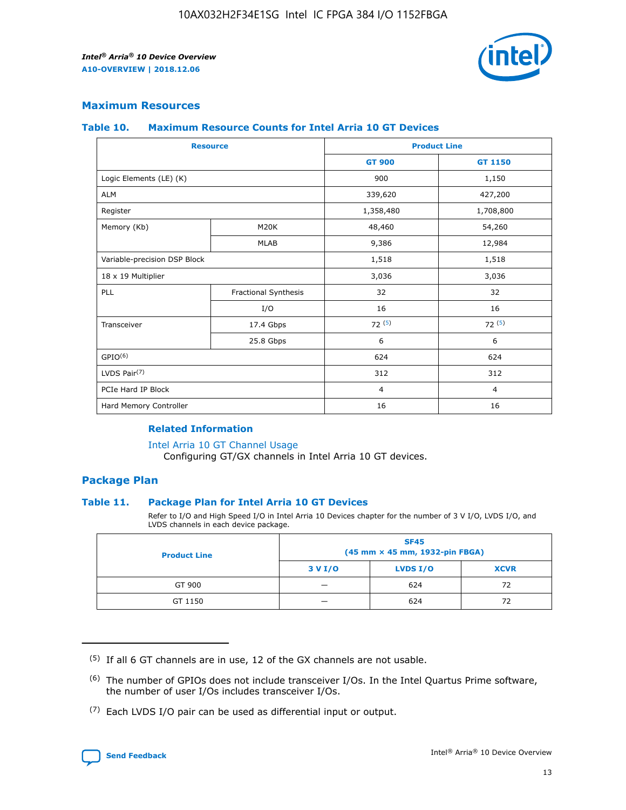

## **Maximum Resources**

#### **Table 10. Maximum Resource Counts for Intel Arria 10 GT Devices**

| <b>Resource</b>              |                      |                | <b>Product Line</b> |  |
|------------------------------|----------------------|----------------|---------------------|--|
|                              |                      | <b>GT 900</b>  | <b>GT 1150</b>      |  |
| Logic Elements (LE) (K)      |                      | 900            | 1,150               |  |
| <b>ALM</b>                   |                      | 339,620        | 427,200             |  |
| Register                     |                      | 1,358,480      | 1,708,800           |  |
| Memory (Kb)                  | M20K                 | 48,460         | 54,260              |  |
|                              | <b>MLAB</b>          | 9,386          | 12,984              |  |
| Variable-precision DSP Block |                      | 1,518          | 1,518               |  |
| 18 x 19 Multiplier           |                      | 3,036          | 3,036               |  |
| <b>PLL</b>                   | Fractional Synthesis | 32             | 32                  |  |
|                              | I/O                  | 16             | 16                  |  |
| Transceiver                  | 17.4 Gbps            | 72(5)          | 72(5)               |  |
|                              | 25.8 Gbps            | 6              | 6                   |  |
| GPIO <sup>(6)</sup>          |                      | 624            | 624                 |  |
| LVDS Pair $(7)$              |                      | 312            | 312                 |  |
| PCIe Hard IP Block           |                      | $\overline{4}$ | $\overline{4}$      |  |
| Hard Memory Controller       |                      | 16             | 16                  |  |

#### **Related Information**

#### [Intel Arria 10 GT Channel Usage](https://www.intel.com/content/www/us/en/programmable/documentation/nik1398707230472.html#nik1398707008178)

Configuring GT/GX channels in Intel Arria 10 GT devices.

## **Package Plan**

#### **Table 11. Package Plan for Intel Arria 10 GT Devices**

Refer to I/O and High Speed I/O in Intel Arria 10 Devices chapter for the number of 3 V I/O, LVDS I/O, and LVDS channels in each device package.

| <b>Product Line</b> | <b>SF45</b><br>(45 mm × 45 mm, 1932-pin FBGA) |                 |             |  |  |  |
|---------------------|-----------------------------------------------|-----------------|-------------|--|--|--|
|                     | 3 V I/O                                       | <b>LVDS I/O</b> | <b>XCVR</b> |  |  |  |
| GT 900              |                                               | 624             | 72          |  |  |  |
| GT 1150             |                                               | 624             |             |  |  |  |

<sup>(7)</sup> Each LVDS I/O pair can be used as differential input or output.



 $(5)$  If all 6 GT channels are in use, 12 of the GX channels are not usable.

<sup>(6)</sup> The number of GPIOs does not include transceiver I/Os. In the Intel Quartus Prime software, the number of user I/Os includes transceiver I/Os.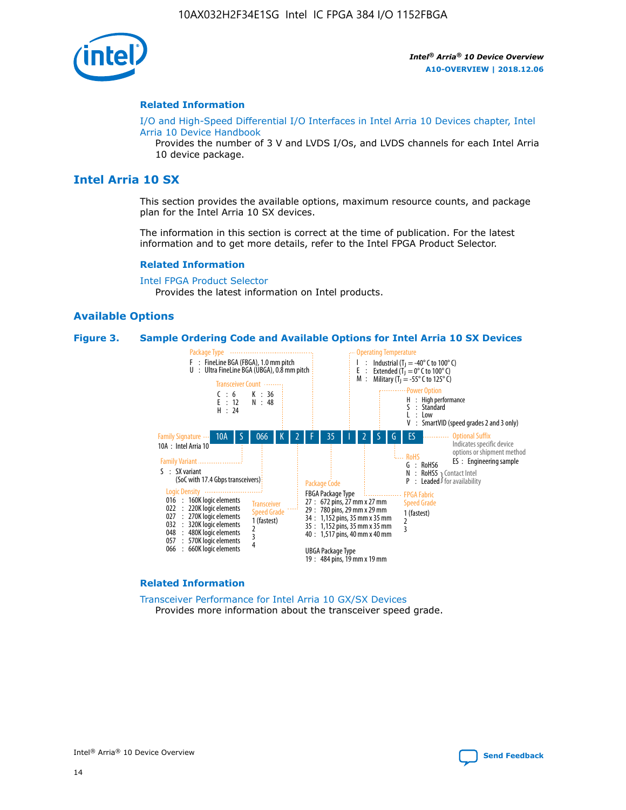

#### **Related Information**

[I/O and High-Speed Differential I/O Interfaces in Intel Arria 10 Devices chapter, Intel](https://www.intel.com/content/www/us/en/programmable/documentation/sam1403482614086.html#sam1403482030321) [Arria 10 Device Handbook](https://www.intel.com/content/www/us/en/programmable/documentation/sam1403482614086.html#sam1403482030321)

Provides the number of 3 V and LVDS I/Os, and LVDS channels for each Intel Arria 10 device package.

## **Intel Arria 10 SX**

This section provides the available options, maximum resource counts, and package plan for the Intel Arria 10 SX devices.

The information in this section is correct at the time of publication. For the latest information and to get more details, refer to the Intel FPGA Product Selector.

#### **Related Information**

[Intel FPGA Product Selector](http://www.altera.com/products/selector/psg-selector.html) Provides the latest information on Intel products.

#### **Available Options**

#### **Figure 3. Sample Ordering Code and Available Options for Intel Arria 10 SX Devices**



#### **Related Information**

[Transceiver Performance for Intel Arria 10 GX/SX Devices](https://www.intel.com/content/www/us/en/programmable/documentation/mcn1413182292568.html#mcn1413213965502) Provides more information about the transceiver speed grade.

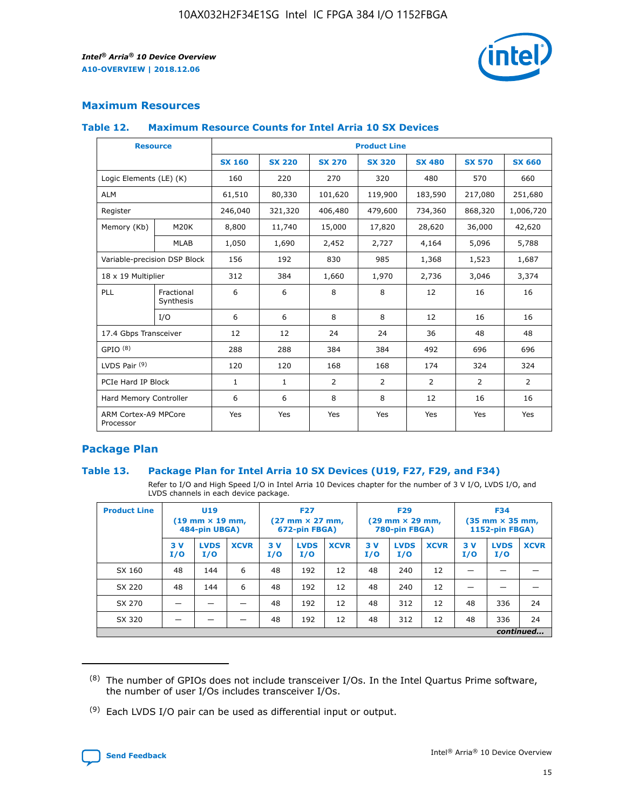

## **Maximum Resources**

#### **Table 12. Maximum Resource Counts for Intel Arria 10 SX Devices**

|                                   | <b>Resource</b>         | <b>Product Line</b> |               |                |                |                |                |                |  |  |  |
|-----------------------------------|-------------------------|---------------------|---------------|----------------|----------------|----------------|----------------|----------------|--|--|--|
|                                   |                         | <b>SX 160</b>       | <b>SX 220</b> | <b>SX 270</b>  | <b>SX 320</b>  | <b>SX 480</b>  | <b>SX 570</b>  | <b>SX 660</b>  |  |  |  |
| Logic Elements (LE) (K)           |                         | 160                 | 220           | 270            | 320            | 480            | 570            | 660            |  |  |  |
| <b>ALM</b>                        |                         | 61,510              | 80,330        | 101,620        | 119,900        | 183,590        | 217,080        | 251,680        |  |  |  |
| Register                          |                         | 246,040             | 321,320       | 406,480        | 479,600        | 734,360        | 868,320        | 1,006,720      |  |  |  |
| Memory (Kb)                       | M <sub>20</sub> K       | 8,800               | 11,740        | 15,000         | 17,820         | 28,620         | 36,000         | 42,620         |  |  |  |
|                                   | MLAB                    | 1,050               | 1,690         | 2,452          | 2,727          | 4,164          | 5,096          | 5,788          |  |  |  |
| Variable-precision DSP Block      |                         | 156                 | 192           | 830            | 985            | 1,368          | 1,523          | 1,687          |  |  |  |
| 18 x 19 Multiplier                |                         | 312                 | 384           | 1,660          | 1,970          | 2,736          | 3,046          | 3,374          |  |  |  |
| <b>PLL</b>                        | Fractional<br>Synthesis | 6                   | 6             | 8              | 8              | 12             | 16             | 16             |  |  |  |
|                                   | I/O                     | 6                   | 6             | 8              | 8              | 12             | 16             | 16             |  |  |  |
| 17.4 Gbps Transceiver             |                         | 12                  | 12            | 24             | 24             | 36             | 48             | 48             |  |  |  |
| GPIO <sup>(8)</sup>               |                         | 288                 | 288           | 384            | 384            | 492            | 696            | 696            |  |  |  |
| LVDS Pair $(9)$                   |                         | 120                 | 120           | 168            | 168            | 174            | 324            | 324            |  |  |  |
| PCIe Hard IP Block                |                         | $\mathbf{1}$        | 1             | $\overline{2}$ | $\overline{2}$ | $\overline{2}$ | $\overline{2}$ | $\overline{2}$ |  |  |  |
| Hard Memory Controller            |                         | 6                   | 6             | 8              | 8              | 12             | 16             | 16             |  |  |  |
| ARM Cortex-A9 MPCore<br>Processor |                         | Yes                 | Yes           | Yes            | Yes            | Yes            | Yes            | Yes            |  |  |  |

## **Package Plan**

#### **Table 13. Package Plan for Intel Arria 10 SX Devices (U19, F27, F29, and F34)**

Refer to I/O and High Speed I/O in Intel Arria 10 Devices chapter for the number of 3 V I/O, LVDS I/O, and LVDS channels in each device package.

| <b>Product Line</b> | U19<br>$(19 \text{ mm} \times 19 \text{ mm})$ .<br>484-pin UBGA) |                    |             | <b>F27</b><br>$(27 \text{ mm} \times 27 \text{ mm})$<br>672-pin FBGA) |                    | <b>F29</b><br>$(29 \text{ mm} \times 29 \text{ mm})$<br>780-pin FBGA) |           |                    | <b>F34</b><br>$(35 \text{ mm} \times 35 \text{ mm})$<br><b>1152-pin FBGA)</b> |           |                    |             |
|---------------------|------------------------------------------------------------------|--------------------|-------------|-----------------------------------------------------------------------|--------------------|-----------------------------------------------------------------------|-----------|--------------------|-------------------------------------------------------------------------------|-----------|--------------------|-------------|
|                     | 3V<br>I/O                                                        | <b>LVDS</b><br>I/O | <b>XCVR</b> | 3V<br>I/O                                                             | <b>LVDS</b><br>I/O | <b>XCVR</b>                                                           | 3V<br>I/O | <b>LVDS</b><br>I/O | <b>XCVR</b>                                                                   | 3V<br>I/O | <b>LVDS</b><br>I/O | <b>XCVR</b> |
| SX 160              | 48                                                               | 144                | 6           | 48                                                                    | 192                | 12                                                                    | 48        | 240                | 12                                                                            |           |                    |             |
| SX 220              | 48                                                               | 144                | 6           | 48                                                                    | 192                | 12                                                                    | 48        | 240                | 12                                                                            |           |                    |             |
| SX 270              |                                                                  |                    |             | 48                                                                    | 192                | 12                                                                    | 48        | 312                | 12                                                                            | 48        | 336                | 24          |
| SX 320              |                                                                  |                    |             | 48                                                                    | 192                | 12                                                                    | 48        | 312                | 12                                                                            | 48        | 336                | 24          |
|                     | continued                                                        |                    |             |                                                                       |                    |                                                                       |           |                    |                                                                               |           |                    |             |

 $(8)$  The number of GPIOs does not include transceiver I/Os. In the Intel Quartus Prime software, the number of user I/Os includes transceiver I/Os.

 $(9)$  Each LVDS I/O pair can be used as differential input or output.

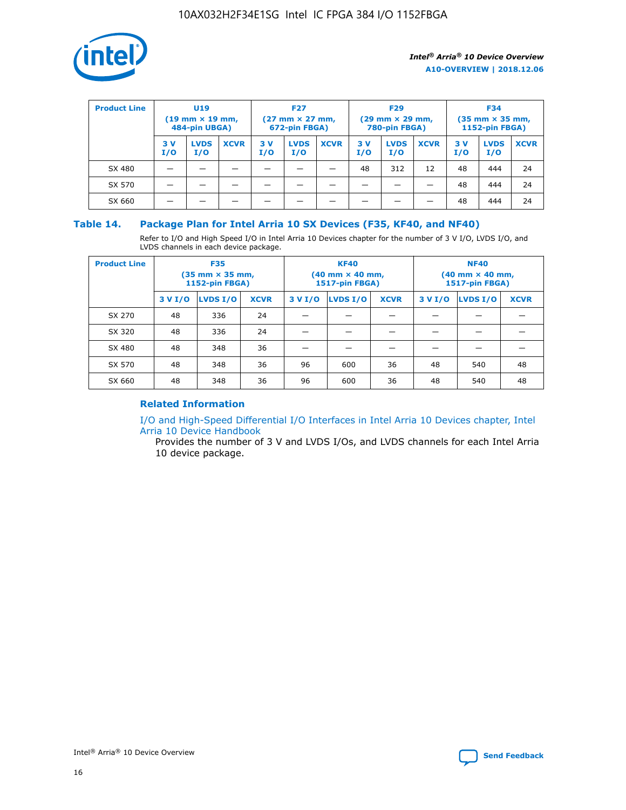

| <b>Product Line</b> | U <sub>19</sub><br>$(19 \text{ mm} \times 19 \text{ mm})$<br>484-pin UBGA) |                    | <b>F27</b><br>$(27 \text{ mm} \times 27 \text{ mm})$<br>672-pin FBGA) |           | <b>F29</b><br>$(29$ mm $\times$ 29 mm,<br>780-pin FBGA) |             |           | <b>F34</b><br>$(35$ mm $\times$ 35 mm,<br><b>1152-pin FBGA)</b> |             |            |                    |             |
|---------------------|----------------------------------------------------------------------------|--------------------|-----------------------------------------------------------------------|-----------|---------------------------------------------------------|-------------|-----------|-----------------------------------------------------------------|-------------|------------|--------------------|-------------|
|                     | 3 V<br>I/O                                                                 | <b>LVDS</b><br>I/O | <b>XCVR</b>                                                           | 3V<br>I/O | <b>LVDS</b><br>I/O                                      | <b>XCVR</b> | 3V<br>I/O | <b>LVDS</b><br>I/O                                              | <b>XCVR</b> | 3 V<br>I/O | <b>LVDS</b><br>I/O | <b>XCVR</b> |
| SX 480              |                                                                            |                    |                                                                       |           |                                                         |             | 48        | 312                                                             | 12          | 48         | 444                | 24          |
| SX 570              |                                                                            |                    |                                                                       |           |                                                         |             |           |                                                                 |             | 48         | 444                | 24          |
| SX 660              |                                                                            |                    |                                                                       |           |                                                         |             |           |                                                                 |             | 48         | 444                | 24          |

## **Table 14. Package Plan for Intel Arria 10 SX Devices (F35, KF40, and NF40)**

Refer to I/O and High Speed I/O in Intel Arria 10 Devices chapter for the number of 3 V I/O, LVDS I/O, and LVDS channels in each device package.

| <b>Product Line</b> | <b>F35</b><br>$(35 \text{ mm} \times 35 \text{ mm})$<br><b>1152-pin FBGA)</b> |          |             |                                           | <b>KF40</b><br>(40 mm × 40 mm,<br>1517-pin FBGA) |    | <b>NF40</b><br>$(40 \text{ mm} \times 40 \text{ mm})$<br>1517-pin FBGA) |          |             |  |
|---------------------|-------------------------------------------------------------------------------|----------|-------------|-------------------------------------------|--------------------------------------------------|----|-------------------------------------------------------------------------|----------|-------------|--|
|                     | 3 V I/O                                                                       | LVDS I/O | <b>XCVR</b> | <b>LVDS I/O</b><br><b>XCVR</b><br>3 V I/O |                                                  |    | 3 V I/O                                                                 | LVDS I/O | <b>XCVR</b> |  |
| SX 270              | 48                                                                            | 336      | 24          |                                           |                                                  |    |                                                                         |          |             |  |
| SX 320              | 48                                                                            | 336      | 24          |                                           |                                                  |    |                                                                         |          |             |  |
| SX 480              | 48                                                                            | 348      | 36          |                                           |                                                  |    |                                                                         |          |             |  |
| SX 570              | 48                                                                            | 348      | 36          | 96                                        | 600                                              | 36 | 48                                                                      | 540      | 48          |  |
| SX 660              | 48                                                                            | 348      | 36          | 96                                        | 600                                              | 36 | 48                                                                      | 540      | 48          |  |

## **Related Information**

[I/O and High-Speed Differential I/O Interfaces in Intel Arria 10 Devices chapter, Intel](https://www.intel.com/content/www/us/en/programmable/documentation/sam1403482614086.html#sam1403482030321) [Arria 10 Device Handbook](https://www.intel.com/content/www/us/en/programmable/documentation/sam1403482614086.html#sam1403482030321)

Provides the number of 3 V and LVDS I/Os, and LVDS channels for each Intel Arria 10 device package.

Intel<sup>®</sup> Arria<sup>®</sup> 10 Device Overview **[Send Feedback](mailto:FPGAtechdocfeedback@intel.com?subject=Feedback%20on%20Intel%20Arria%2010%20Device%20Overview%20(A10-OVERVIEW%202018.12.06)&body=We%20appreciate%20your%20feedback.%20In%20your%20comments,%20also%20specify%20the%20page%20number%20or%20paragraph.%20Thank%20you.)** Send Feedback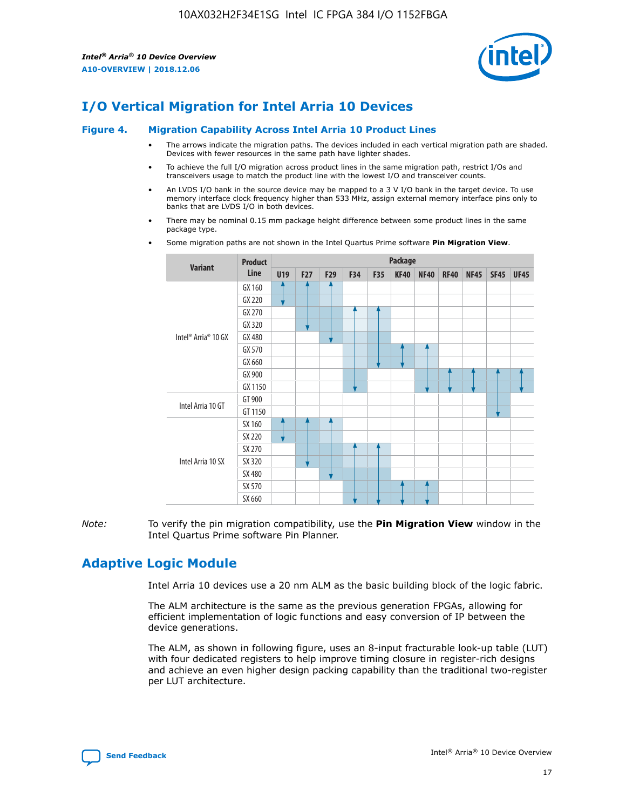

# **I/O Vertical Migration for Intel Arria 10 Devices**

#### **Figure 4. Migration Capability Across Intel Arria 10 Product Lines**

- The arrows indicate the migration paths. The devices included in each vertical migration path are shaded. Devices with fewer resources in the same path have lighter shades.
- To achieve the full I/O migration across product lines in the same migration path, restrict I/Os and transceivers usage to match the product line with the lowest I/O and transceiver counts.
- An LVDS I/O bank in the source device may be mapped to a 3 V I/O bank in the target device. To use memory interface clock frequency higher than 533 MHz, assign external memory interface pins only to banks that are LVDS I/O in both devices.
- There may be nominal 0.15 mm package height difference between some product lines in the same package type.
	- **Variant Product Line Package U19 F27 F29 F34 F35 KF40 NF40 RF40 NF45 SF45 UF45** Intel® Arria® 10 GX GX 160 GX 220 GX 270 GX 320 GX 480 GX 570 GX 660 GX 900 GX 1150 Intel Arria 10 GT GT 900 GT 1150 Intel Arria 10 SX SX 160 SX 220 SX 270 SX 320 SX 480 SX 570 SX 660
- Some migration paths are not shown in the Intel Quartus Prime software **Pin Migration View**.

*Note:* To verify the pin migration compatibility, use the **Pin Migration View** window in the Intel Quartus Prime software Pin Planner.

# **Adaptive Logic Module**

Intel Arria 10 devices use a 20 nm ALM as the basic building block of the logic fabric.

The ALM architecture is the same as the previous generation FPGAs, allowing for efficient implementation of logic functions and easy conversion of IP between the device generations.

The ALM, as shown in following figure, uses an 8-input fracturable look-up table (LUT) with four dedicated registers to help improve timing closure in register-rich designs and achieve an even higher design packing capability than the traditional two-register per LUT architecture.

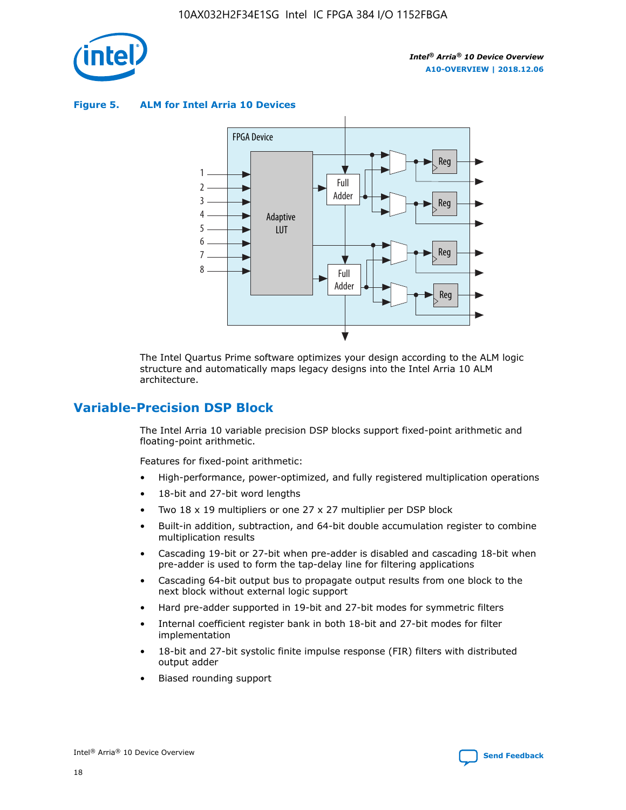

**Figure 5. ALM for Intel Arria 10 Devices**



The Intel Quartus Prime software optimizes your design according to the ALM logic structure and automatically maps legacy designs into the Intel Arria 10 ALM architecture.

## **Variable-Precision DSP Block**

The Intel Arria 10 variable precision DSP blocks support fixed-point arithmetic and floating-point arithmetic.

Features for fixed-point arithmetic:

- High-performance, power-optimized, and fully registered multiplication operations
- 18-bit and 27-bit word lengths
- Two 18 x 19 multipliers or one 27 x 27 multiplier per DSP block
- Built-in addition, subtraction, and 64-bit double accumulation register to combine multiplication results
- Cascading 19-bit or 27-bit when pre-adder is disabled and cascading 18-bit when pre-adder is used to form the tap-delay line for filtering applications
- Cascading 64-bit output bus to propagate output results from one block to the next block without external logic support
- Hard pre-adder supported in 19-bit and 27-bit modes for symmetric filters
- Internal coefficient register bank in both 18-bit and 27-bit modes for filter implementation
- 18-bit and 27-bit systolic finite impulse response (FIR) filters with distributed output adder
- Biased rounding support

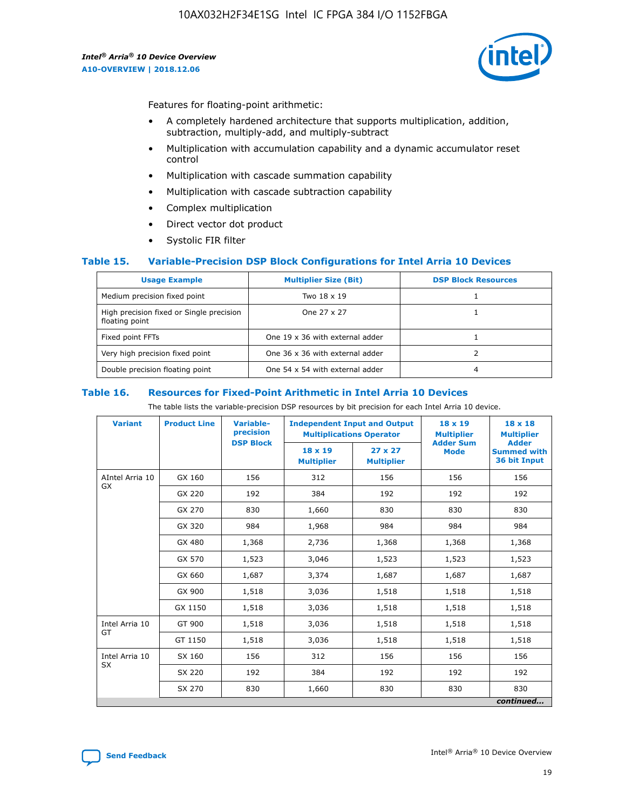

Features for floating-point arithmetic:

- A completely hardened architecture that supports multiplication, addition, subtraction, multiply-add, and multiply-subtract
- Multiplication with accumulation capability and a dynamic accumulator reset control
- Multiplication with cascade summation capability
- Multiplication with cascade subtraction capability
- Complex multiplication
- Direct vector dot product
- Systolic FIR filter

#### **Table 15. Variable-Precision DSP Block Configurations for Intel Arria 10 Devices**

| <b>Usage Example</b>                                       | <b>Multiplier Size (Bit)</b>    | <b>DSP Block Resources</b> |
|------------------------------------------------------------|---------------------------------|----------------------------|
| Medium precision fixed point                               | Two 18 x 19                     |                            |
| High precision fixed or Single precision<br>floating point | One 27 x 27                     |                            |
| Fixed point FFTs                                           | One 19 x 36 with external adder |                            |
| Very high precision fixed point                            | One 36 x 36 with external adder |                            |
| Double precision floating point                            | One 54 x 54 with external adder | 4                          |

#### **Table 16. Resources for Fixed-Point Arithmetic in Intel Arria 10 Devices**

The table lists the variable-precision DSP resources by bit precision for each Intel Arria 10 device.

| <b>Variant</b>  | <b>Product Line</b> | Variable-<br>precision<br><b>DSP Block</b> | <b>Independent Input and Output</b><br><b>Multiplications Operator</b> |                                     | 18 x 19<br><b>Multiplier</b><br><b>Adder Sum</b> | $18 \times 18$<br><b>Multiplier</b><br><b>Adder</b> |
|-----------------|---------------------|--------------------------------------------|------------------------------------------------------------------------|-------------------------------------|--------------------------------------------------|-----------------------------------------------------|
|                 |                     |                                            | 18 x 19<br><b>Multiplier</b>                                           | $27 \times 27$<br><b>Multiplier</b> | <b>Mode</b>                                      | <b>Summed with</b><br>36 bit Input                  |
| AIntel Arria 10 | GX 160              | 156                                        | 312                                                                    | 156                                 | 156                                              | 156                                                 |
| GX              | GX 220              | 192                                        | 384                                                                    | 192                                 | 192                                              | 192                                                 |
|                 | GX 270              | 830                                        | 1,660                                                                  | 830                                 | 830                                              | 830                                                 |
|                 | GX 320              | 984                                        | 1,968                                                                  | 984                                 | 984                                              | 984                                                 |
|                 | GX 480              | 1,368                                      | 2,736                                                                  | 1,368                               | 1,368                                            | 1,368                                               |
|                 | GX 570              | 1,523                                      | 3,046                                                                  | 1,523                               | 1,523                                            | 1,523                                               |
|                 | GX 660              | 1,687                                      | 3,374                                                                  | 1,687                               | 1,687                                            | 1,687                                               |
|                 | GX 900              | 1,518                                      | 3,036                                                                  | 1,518                               | 1,518                                            | 1,518                                               |
|                 | GX 1150             | 1,518                                      | 3,036                                                                  | 1,518                               | 1,518                                            | 1,518                                               |
| Intel Arria 10  | GT 900              | 1,518                                      | 3,036                                                                  | 1,518                               | 1,518                                            | 1,518                                               |
| GT              | GT 1150             | 1,518                                      | 3,036                                                                  | 1,518                               | 1,518                                            | 1,518                                               |
| Intel Arria 10  | SX 160              | 156                                        | 312                                                                    | 156                                 | 156                                              | 156                                                 |
| <b>SX</b>       | SX 220              | 192                                        | 384                                                                    | 192                                 | 192                                              | 192                                                 |
|                 | SX 270              | 830                                        | 1,660                                                                  | 830                                 | 830                                              | 830                                                 |
|                 |                     |                                            |                                                                        |                                     |                                                  | continued                                           |

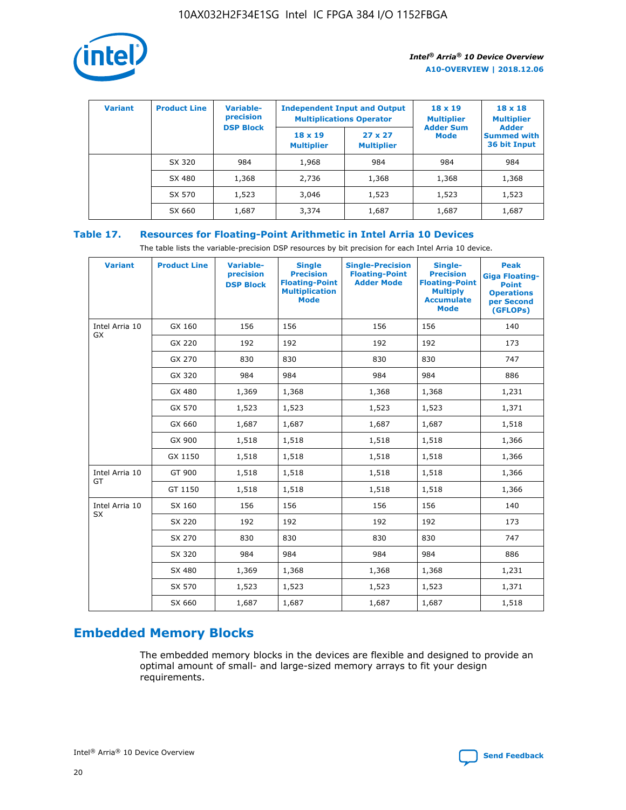

| <b>Variant</b> | <b>Product Line</b> | <b>Variable-</b><br>precision<br><b>DSP Block</b> | <b>Independent Input and Output</b><br><b>Multiplications Operator</b> |                                     | $18 \times 19$<br><b>Multiplier</b><br><b>Adder Sum</b> | $18 \times 18$<br><b>Multiplier</b><br><b>Adder</b> |  |
|----------------|---------------------|---------------------------------------------------|------------------------------------------------------------------------|-------------------------------------|---------------------------------------------------------|-----------------------------------------------------|--|
|                |                     |                                                   | $18 \times 19$<br><b>Multiplier</b>                                    | $27 \times 27$<br><b>Multiplier</b> | <b>Mode</b>                                             | <b>Summed with</b><br>36 bit Input                  |  |
|                | SX 320              | 984                                               | 1,968                                                                  | 984                                 | 984                                                     | 984                                                 |  |
|                | SX 480              | 1,368                                             | 2,736                                                                  | 1,368                               | 1,368                                                   | 1,368                                               |  |
|                | SX 570              | 1,523                                             | 3,046                                                                  | 1,523                               | 1,523                                                   | 1,523                                               |  |
|                | SX 660              | 1,687                                             | 3,374                                                                  | 1,687                               | 1,687                                                   | 1,687                                               |  |

## **Table 17. Resources for Floating-Point Arithmetic in Intel Arria 10 Devices**

The table lists the variable-precision DSP resources by bit precision for each Intel Arria 10 device.

| <b>Variant</b> | <b>Product Line</b> | <b>Variable-</b><br>precision<br><b>DSP Block</b> | <b>Single</b><br><b>Precision</b><br><b>Floating-Point</b><br><b>Multiplication</b><br><b>Mode</b> | <b>Single-Precision</b><br><b>Floating-Point</b><br><b>Adder Mode</b> | Single-<br><b>Precision</b><br><b>Floating-Point</b><br><b>Multiply</b><br><b>Accumulate</b><br><b>Mode</b> | <b>Peak</b><br><b>Giga Floating-</b><br><b>Point</b><br><b>Operations</b><br>per Second<br>(GFLOPs) |
|----------------|---------------------|---------------------------------------------------|----------------------------------------------------------------------------------------------------|-----------------------------------------------------------------------|-------------------------------------------------------------------------------------------------------------|-----------------------------------------------------------------------------------------------------|
| Intel Arria 10 | GX 160              | 156                                               | 156                                                                                                | 156                                                                   | 156                                                                                                         | 140                                                                                                 |
| GX             | GX 220              | 192                                               | 192                                                                                                | 192                                                                   | 192                                                                                                         | 173                                                                                                 |
|                | GX 270              | 830                                               | 830                                                                                                | 830                                                                   | 830                                                                                                         | 747                                                                                                 |
|                | GX 320              | 984                                               | 984                                                                                                | 984                                                                   | 984                                                                                                         | 886                                                                                                 |
|                | GX 480              | 1,369                                             | 1,368                                                                                              | 1,368                                                                 | 1,368                                                                                                       | 1,231                                                                                               |
|                | GX 570              | 1,523                                             | 1,523                                                                                              | 1,523                                                                 | 1,523                                                                                                       | 1,371                                                                                               |
|                | GX 660              | 1,687                                             | 1,687                                                                                              | 1,687                                                                 | 1,687                                                                                                       | 1,518                                                                                               |
|                | GX 900              | 1,518                                             | 1,518                                                                                              | 1,518                                                                 | 1,518                                                                                                       | 1,366                                                                                               |
|                | GX 1150             | 1,518                                             | 1,518                                                                                              | 1,518                                                                 | 1,518                                                                                                       | 1,366                                                                                               |
| Intel Arria 10 | GT 900              | 1,518                                             | 1,518                                                                                              | 1,518                                                                 | 1,518                                                                                                       | 1,366                                                                                               |
| GT             | GT 1150             | 1,518                                             | 1,518                                                                                              | 1,518                                                                 | 1,518                                                                                                       | 1,366                                                                                               |
| Intel Arria 10 | SX 160              | 156                                               | 156                                                                                                | 156                                                                   | 156                                                                                                         | 140                                                                                                 |
| SX             | SX 220              | 192                                               | 192                                                                                                | 192                                                                   | 192                                                                                                         | 173                                                                                                 |
|                | SX 270              | 830                                               | 830                                                                                                | 830                                                                   | 830                                                                                                         | 747                                                                                                 |
|                | SX 320              | 984                                               | 984                                                                                                | 984                                                                   | 984                                                                                                         | 886                                                                                                 |
|                | SX 480              | 1,369                                             | 1,368                                                                                              | 1,368                                                                 | 1,368                                                                                                       | 1,231                                                                                               |
|                | SX 570              | 1,523                                             | 1,523                                                                                              | 1,523                                                                 | 1,523                                                                                                       | 1,371                                                                                               |
|                | SX 660              | 1,687                                             | 1,687                                                                                              | 1,687                                                                 | 1,687                                                                                                       | 1,518                                                                                               |

# **Embedded Memory Blocks**

The embedded memory blocks in the devices are flexible and designed to provide an optimal amount of small- and large-sized memory arrays to fit your design requirements.

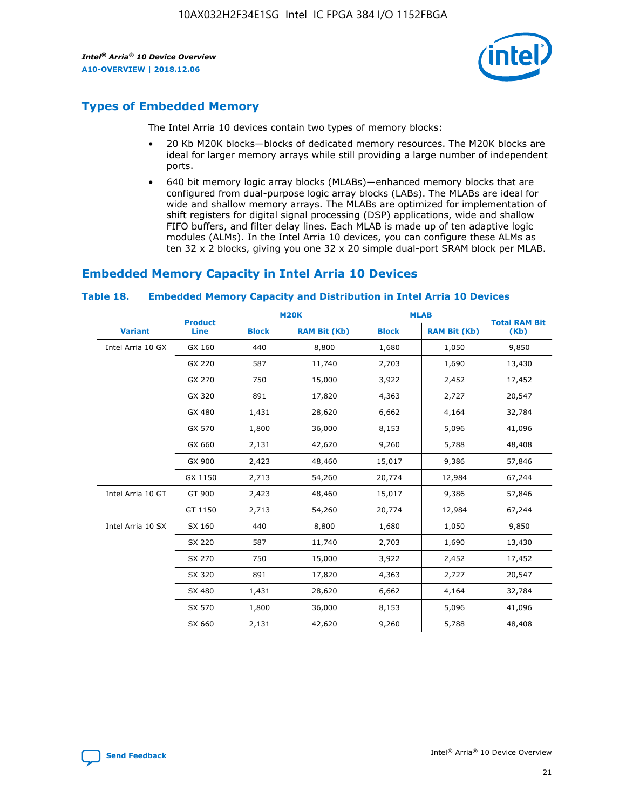

## **Types of Embedded Memory**

The Intel Arria 10 devices contain two types of memory blocks:

- 20 Kb M20K blocks—blocks of dedicated memory resources. The M20K blocks are ideal for larger memory arrays while still providing a large number of independent ports.
- 640 bit memory logic array blocks (MLABs)—enhanced memory blocks that are configured from dual-purpose logic array blocks (LABs). The MLABs are ideal for wide and shallow memory arrays. The MLABs are optimized for implementation of shift registers for digital signal processing (DSP) applications, wide and shallow FIFO buffers, and filter delay lines. Each MLAB is made up of ten adaptive logic modules (ALMs). In the Intel Arria 10 devices, you can configure these ALMs as ten 32 x 2 blocks, giving you one 32 x 20 simple dual-port SRAM block per MLAB.

## **Embedded Memory Capacity in Intel Arria 10 Devices**

|                   | <b>Product</b> |              | <b>M20K</b>         | <b>MLAB</b>  |                     | <b>Total RAM Bit</b> |  |
|-------------------|----------------|--------------|---------------------|--------------|---------------------|----------------------|--|
| <b>Variant</b>    | Line           | <b>Block</b> | <b>RAM Bit (Kb)</b> | <b>Block</b> | <b>RAM Bit (Kb)</b> | (Kb)                 |  |
| Intel Arria 10 GX | GX 160         | 440          | 8,800               | 1,680        | 1,050               | 9,850                |  |
|                   | GX 220         | 587          | 11,740              | 2,703        | 1,690               | 13,430               |  |
|                   | GX 270         | 750          | 15,000              | 3,922        | 2,452               | 17,452               |  |
|                   | GX 320         | 891          | 17,820              | 4,363        | 2,727               | 20,547               |  |
|                   | GX 480         | 1,431        | 28,620              | 6,662        | 4,164               | 32,784               |  |
|                   | GX 570         | 1,800        | 36,000              | 8,153        | 5,096               | 41,096               |  |
|                   | GX 660         | 2,131        | 42,620              | 9,260        | 5,788               | 48,408               |  |
|                   | GX 900         | 2,423        | 48,460              | 15,017       | 9,386               | 57,846               |  |
|                   | GX 1150        | 2,713        | 54,260              | 20,774       | 12,984              | 67,244               |  |
| Intel Arria 10 GT | GT 900         | 2,423        | 48,460              | 15,017       | 9,386               | 57,846               |  |
|                   | GT 1150        | 2,713        | 54,260              | 20,774       | 12,984              | 67,244               |  |
| Intel Arria 10 SX | SX 160         | 440          | 8,800               | 1,680        | 1,050               | 9,850                |  |
|                   | SX 220         | 587          | 11,740              | 2,703        | 1,690               | 13,430               |  |
|                   | SX 270         | 750          | 15,000              | 3,922        | 2,452               | 17,452               |  |
|                   | SX 320         | 891          | 17,820              | 4,363        | 2,727               | 20,547               |  |
|                   | SX 480         | 1,431        | 28,620              | 6,662        | 4,164               | 32,784               |  |
|                   | SX 570         | 1,800        | 36,000              | 8,153        | 5,096               | 41,096               |  |
|                   | SX 660         | 2,131        | 42,620              | 9,260        | 5,788               | 48,408               |  |

#### **Table 18. Embedded Memory Capacity and Distribution in Intel Arria 10 Devices**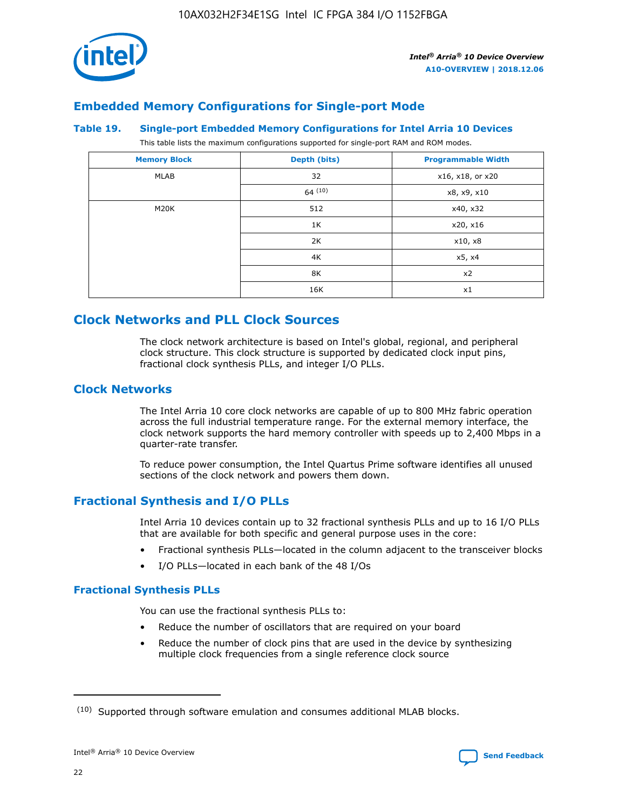

## **Embedded Memory Configurations for Single-port Mode**

#### **Table 19. Single-port Embedded Memory Configurations for Intel Arria 10 Devices**

This table lists the maximum configurations supported for single-port RAM and ROM modes.

| <b>Memory Block</b> | Depth (bits) | <b>Programmable Width</b> |
|---------------------|--------------|---------------------------|
| MLAB                | 32           | x16, x18, or x20          |
|                     | 64(10)       | x8, x9, x10               |
| M20K                | 512          | x40, x32                  |
|                     | 1K           | x20, x16                  |
|                     | 2K           | x10, x8                   |
|                     | 4K           | x5, x4                    |
|                     | 8K           | x2                        |
|                     | 16K          | x1                        |

# **Clock Networks and PLL Clock Sources**

The clock network architecture is based on Intel's global, regional, and peripheral clock structure. This clock structure is supported by dedicated clock input pins, fractional clock synthesis PLLs, and integer I/O PLLs.

## **Clock Networks**

The Intel Arria 10 core clock networks are capable of up to 800 MHz fabric operation across the full industrial temperature range. For the external memory interface, the clock network supports the hard memory controller with speeds up to 2,400 Mbps in a quarter-rate transfer.

To reduce power consumption, the Intel Quartus Prime software identifies all unused sections of the clock network and powers them down.

## **Fractional Synthesis and I/O PLLs**

Intel Arria 10 devices contain up to 32 fractional synthesis PLLs and up to 16 I/O PLLs that are available for both specific and general purpose uses in the core:

- Fractional synthesis PLLs—located in the column adjacent to the transceiver blocks
- I/O PLLs—located in each bank of the 48 I/Os

## **Fractional Synthesis PLLs**

You can use the fractional synthesis PLLs to:

- Reduce the number of oscillators that are required on your board
- Reduce the number of clock pins that are used in the device by synthesizing multiple clock frequencies from a single reference clock source

<sup>(10)</sup> Supported through software emulation and consumes additional MLAB blocks.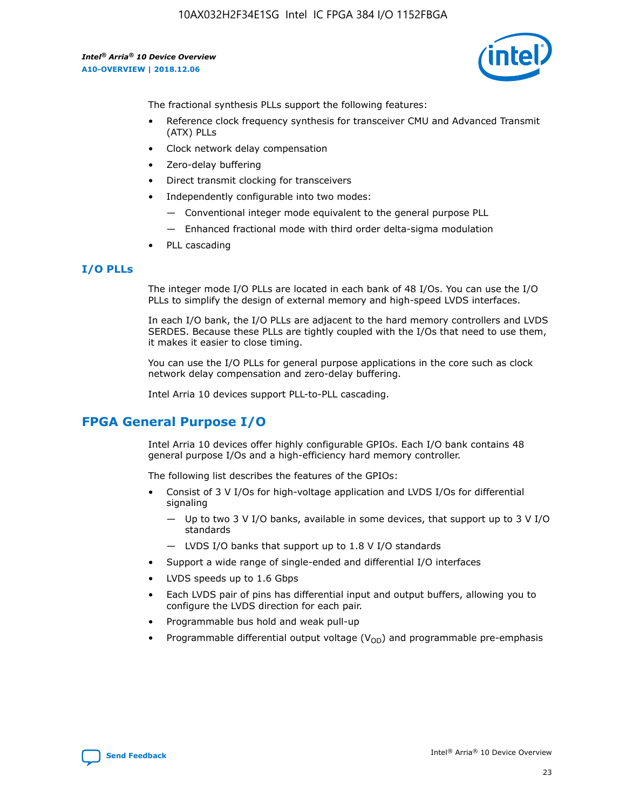

The fractional synthesis PLLs support the following features:

- Reference clock frequency synthesis for transceiver CMU and Advanced Transmit (ATX) PLLs
- Clock network delay compensation
- Zero-delay buffering
- Direct transmit clocking for transceivers
- Independently configurable into two modes:
	- Conventional integer mode equivalent to the general purpose PLL
	- Enhanced fractional mode with third order delta-sigma modulation
- PLL cascading

#### **I/O PLLs**

The integer mode I/O PLLs are located in each bank of 48 I/Os. You can use the I/O PLLs to simplify the design of external memory and high-speed LVDS interfaces.

In each I/O bank, the I/O PLLs are adjacent to the hard memory controllers and LVDS SERDES. Because these PLLs are tightly coupled with the I/Os that need to use them, it makes it easier to close timing.

You can use the I/O PLLs for general purpose applications in the core such as clock network delay compensation and zero-delay buffering.

Intel Arria 10 devices support PLL-to-PLL cascading.

## **FPGA General Purpose I/O**

Intel Arria 10 devices offer highly configurable GPIOs. Each I/O bank contains 48 general purpose I/Os and a high-efficiency hard memory controller.

The following list describes the features of the GPIOs:

- Consist of 3 V I/Os for high-voltage application and LVDS I/Os for differential signaling
	- Up to two 3 V I/O banks, available in some devices, that support up to 3 V I/O standards
	- LVDS I/O banks that support up to 1.8 V I/O standards
- Support a wide range of single-ended and differential I/O interfaces
- LVDS speeds up to 1.6 Gbps
- Each LVDS pair of pins has differential input and output buffers, allowing you to configure the LVDS direction for each pair.
- Programmable bus hold and weak pull-up
- Programmable differential output voltage  $(V_{OD})$  and programmable pre-emphasis

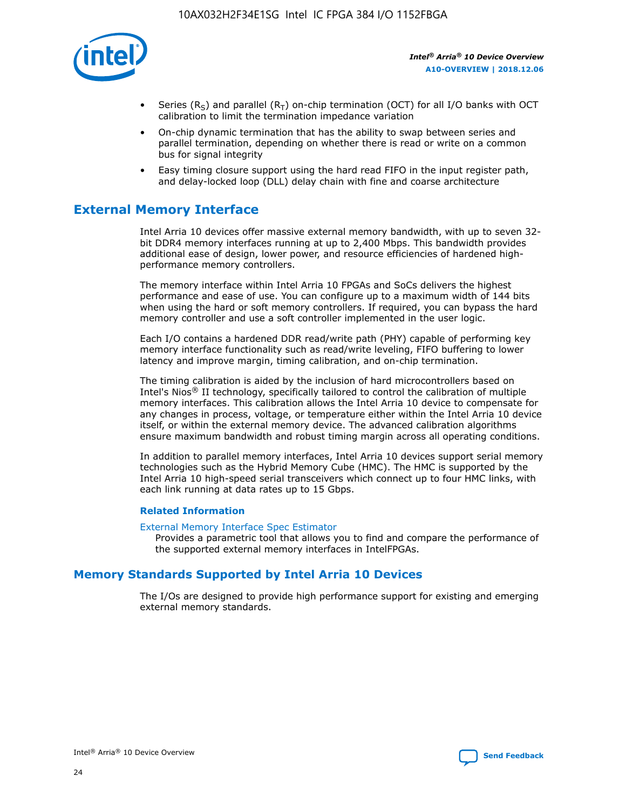

- Series (R<sub>S</sub>) and parallel (R<sub>T</sub>) on-chip termination (OCT) for all I/O banks with OCT calibration to limit the termination impedance variation
- On-chip dynamic termination that has the ability to swap between series and parallel termination, depending on whether there is read or write on a common bus for signal integrity
- Easy timing closure support using the hard read FIFO in the input register path, and delay-locked loop (DLL) delay chain with fine and coarse architecture

# **External Memory Interface**

Intel Arria 10 devices offer massive external memory bandwidth, with up to seven 32 bit DDR4 memory interfaces running at up to 2,400 Mbps. This bandwidth provides additional ease of design, lower power, and resource efficiencies of hardened highperformance memory controllers.

The memory interface within Intel Arria 10 FPGAs and SoCs delivers the highest performance and ease of use. You can configure up to a maximum width of 144 bits when using the hard or soft memory controllers. If required, you can bypass the hard memory controller and use a soft controller implemented in the user logic.

Each I/O contains a hardened DDR read/write path (PHY) capable of performing key memory interface functionality such as read/write leveling, FIFO buffering to lower latency and improve margin, timing calibration, and on-chip termination.

The timing calibration is aided by the inclusion of hard microcontrollers based on Intel's Nios® II technology, specifically tailored to control the calibration of multiple memory interfaces. This calibration allows the Intel Arria 10 device to compensate for any changes in process, voltage, or temperature either within the Intel Arria 10 device itself, or within the external memory device. The advanced calibration algorithms ensure maximum bandwidth and robust timing margin across all operating conditions.

In addition to parallel memory interfaces, Intel Arria 10 devices support serial memory technologies such as the Hybrid Memory Cube (HMC). The HMC is supported by the Intel Arria 10 high-speed serial transceivers which connect up to four HMC links, with each link running at data rates up to 15 Gbps.

#### **Related Information**

#### [External Memory Interface Spec Estimator](http://www.altera.com/technology/memory/estimator/mem-emif-index.html)

Provides a parametric tool that allows you to find and compare the performance of the supported external memory interfaces in IntelFPGAs.

## **Memory Standards Supported by Intel Arria 10 Devices**

The I/Os are designed to provide high performance support for existing and emerging external memory standards.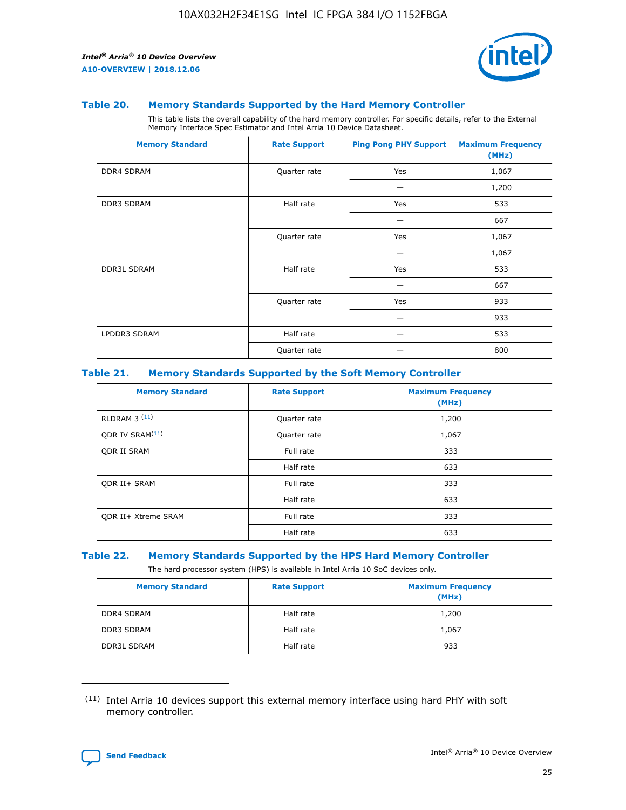

#### **Table 20. Memory Standards Supported by the Hard Memory Controller**

This table lists the overall capability of the hard memory controller. For specific details, refer to the External Memory Interface Spec Estimator and Intel Arria 10 Device Datasheet.

| <b>Memory Standard</b> | <b>Rate Support</b> | <b>Ping Pong PHY Support</b> | <b>Maximum Frequency</b><br>(MHz) |
|------------------------|---------------------|------------------------------|-----------------------------------|
| <b>DDR4 SDRAM</b>      | Quarter rate        | Yes                          | 1,067                             |
|                        |                     |                              | 1,200                             |
| DDR3 SDRAM             | Half rate           | Yes                          | 533                               |
|                        |                     |                              | 667                               |
|                        | Quarter rate        | Yes                          | 1,067                             |
|                        |                     |                              | 1,067                             |
| <b>DDR3L SDRAM</b>     | Half rate           | Yes                          | 533                               |
|                        |                     |                              | 667                               |
|                        | Quarter rate        | Yes                          | 933                               |
|                        |                     |                              | 933                               |
| LPDDR3 SDRAM           | Half rate           |                              | 533                               |
|                        | Quarter rate        |                              | 800                               |

#### **Table 21. Memory Standards Supported by the Soft Memory Controller**

| <b>Memory Standard</b>      | <b>Rate Support</b> | <b>Maximum Frequency</b><br>(MHz) |
|-----------------------------|---------------------|-----------------------------------|
| <b>RLDRAM 3 (11)</b>        | Quarter rate        | 1,200                             |
| ODR IV SRAM <sup>(11)</sup> | Quarter rate        | 1,067                             |
| <b>ODR II SRAM</b>          | Full rate           | 333                               |
|                             | Half rate           | 633                               |
| <b>ODR II+ SRAM</b>         | Full rate           | 333                               |
|                             | Half rate           | 633                               |
| <b>ODR II+ Xtreme SRAM</b>  | Full rate           | 333                               |
|                             | Half rate           | 633                               |

#### **Table 22. Memory Standards Supported by the HPS Hard Memory Controller**

The hard processor system (HPS) is available in Intel Arria 10 SoC devices only.

| <b>Memory Standard</b> | <b>Rate Support</b> | <b>Maximum Frequency</b><br>(MHz) |
|------------------------|---------------------|-----------------------------------|
| <b>DDR4 SDRAM</b>      | Half rate           | 1,200                             |
| <b>DDR3 SDRAM</b>      | Half rate           | 1,067                             |
| <b>DDR3L SDRAM</b>     | Half rate           | 933                               |

<sup>(11)</sup> Intel Arria 10 devices support this external memory interface using hard PHY with soft memory controller.

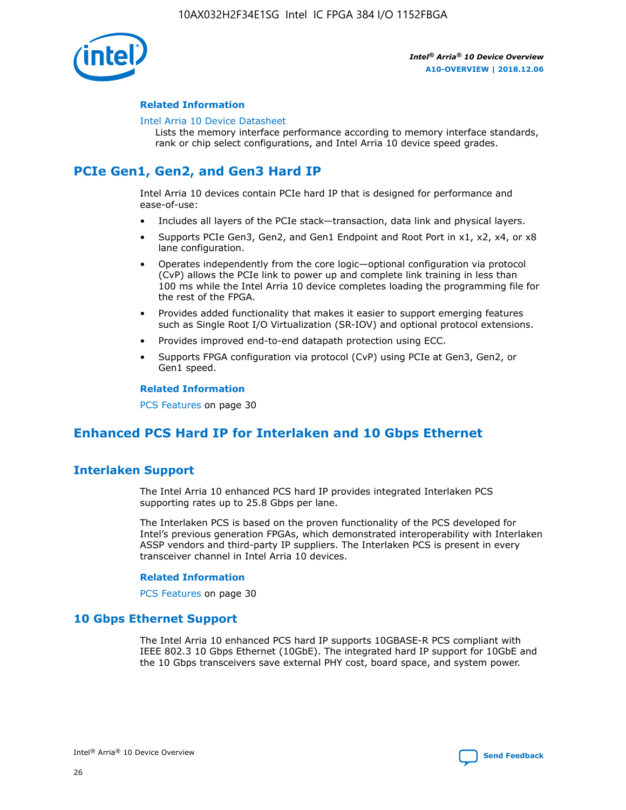

#### **Related Information**

#### [Intel Arria 10 Device Datasheet](https://www.intel.com/content/www/us/en/programmable/documentation/mcn1413182292568.html#mcn1413182153340)

Lists the memory interface performance according to memory interface standards, rank or chip select configurations, and Intel Arria 10 device speed grades.

# **PCIe Gen1, Gen2, and Gen3 Hard IP**

Intel Arria 10 devices contain PCIe hard IP that is designed for performance and ease-of-use:

- Includes all layers of the PCIe stack—transaction, data link and physical layers.
- Supports PCIe Gen3, Gen2, and Gen1 Endpoint and Root Port in x1, x2, x4, or x8 lane configuration.
- Operates independently from the core logic—optional configuration via protocol (CvP) allows the PCIe link to power up and complete link training in less than 100 ms while the Intel Arria 10 device completes loading the programming file for the rest of the FPGA.
- Provides added functionality that makes it easier to support emerging features such as Single Root I/O Virtualization (SR-IOV) and optional protocol extensions.
- Provides improved end-to-end datapath protection using ECC.
- Supports FPGA configuration via protocol (CvP) using PCIe at Gen3, Gen2, or Gen1 speed.

#### **Related Information**

PCS Features on page 30

# **Enhanced PCS Hard IP for Interlaken and 10 Gbps Ethernet**

## **Interlaken Support**

The Intel Arria 10 enhanced PCS hard IP provides integrated Interlaken PCS supporting rates up to 25.8 Gbps per lane.

The Interlaken PCS is based on the proven functionality of the PCS developed for Intel's previous generation FPGAs, which demonstrated interoperability with Interlaken ASSP vendors and third-party IP suppliers. The Interlaken PCS is present in every transceiver channel in Intel Arria 10 devices.

#### **Related Information**

PCS Features on page 30

## **10 Gbps Ethernet Support**

The Intel Arria 10 enhanced PCS hard IP supports 10GBASE-R PCS compliant with IEEE 802.3 10 Gbps Ethernet (10GbE). The integrated hard IP support for 10GbE and the 10 Gbps transceivers save external PHY cost, board space, and system power.

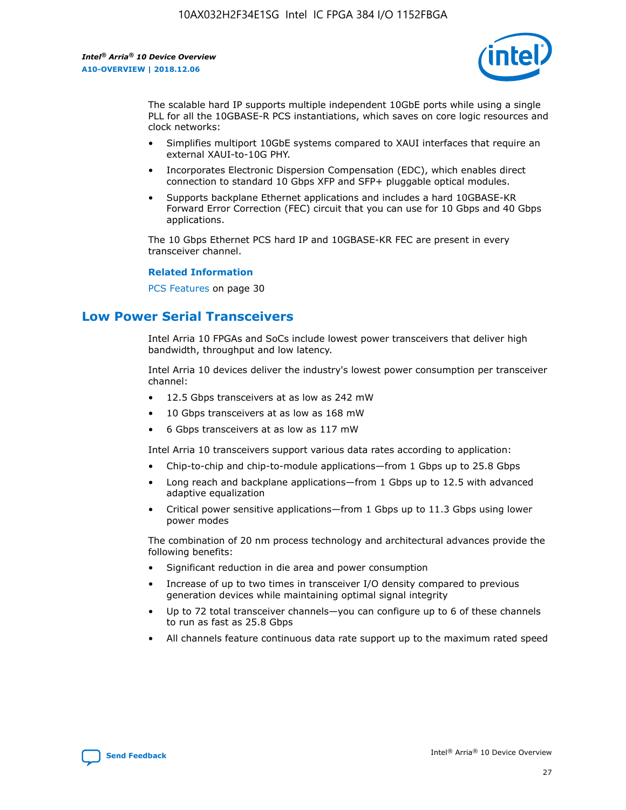

The scalable hard IP supports multiple independent 10GbE ports while using a single PLL for all the 10GBASE-R PCS instantiations, which saves on core logic resources and clock networks:

- Simplifies multiport 10GbE systems compared to XAUI interfaces that require an external XAUI-to-10G PHY.
- Incorporates Electronic Dispersion Compensation (EDC), which enables direct connection to standard 10 Gbps XFP and SFP+ pluggable optical modules.
- Supports backplane Ethernet applications and includes a hard 10GBASE-KR Forward Error Correction (FEC) circuit that you can use for 10 Gbps and 40 Gbps applications.

The 10 Gbps Ethernet PCS hard IP and 10GBASE-KR FEC are present in every transceiver channel.

#### **Related Information**

PCS Features on page 30

# **Low Power Serial Transceivers**

Intel Arria 10 FPGAs and SoCs include lowest power transceivers that deliver high bandwidth, throughput and low latency.

Intel Arria 10 devices deliver the industry's lowest power consumption per transceiver channel:

- 12.5 Gbps transceivers at as low as 242 mW
- 10 Gbps transceivers at as low as 168 mW
- 6 Gbps transceivers at as low as 117 mW

Intel Arria 10 transceivers support various data rates according to application:

- Chip-to-chip and chip-to-module applications—from 1 Gbps up to 25.8 Gbps
- Long reach and backplane applications—from 1 Gbps up to 12.5 with advanced adaptive equalization
- Critical power sensitive applications—from 1 Gbps up to 11.3 Gbps using lower power modes

The combination of 20 nm process technology and architectural advances provide the following benefits:

- Significant reduction in die area and power consumption
- Increase of up to two times in transceiver I/O density compared to previous generation devices while maintaining optimal signal integrity
- Up to 72 total transceiver channels—you can configure up to 6 of these channels to run as fast as 25.8 Gbps
- All channels feature continuous data rate support up to the maximum rated speed

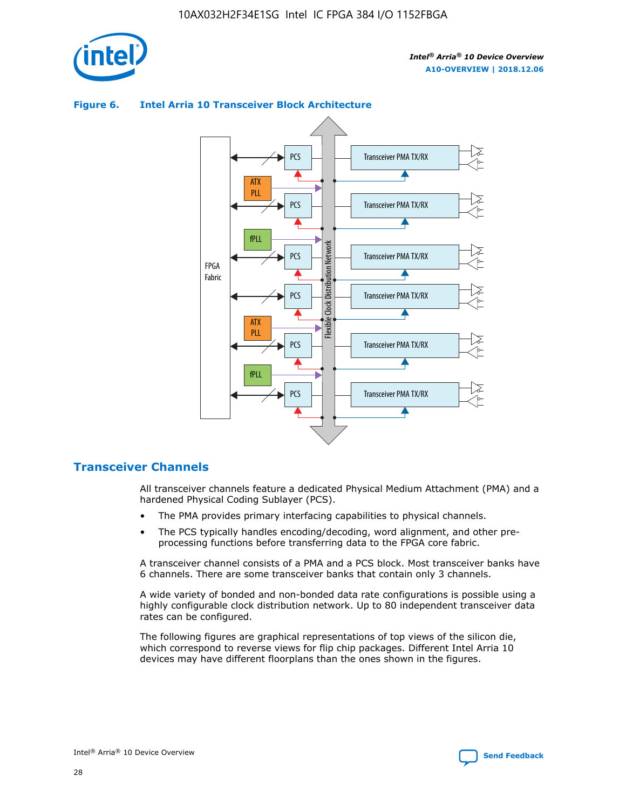

## Transceiver PMA TX/RX PCS ATX PLL Transceiver PMA TX/RX PCS fPLL Network Flexible Clock Distribution Network PCS Transceiver PMA TX/RX FPGA **Clock Distribution** Fabric PCS Transceiver PMA TX/RX ATX Flexible PLL PCS Transceiver PMA TX/RX ▲ fPLL Transceiver PMA TX/RX PCS 4

## **Figure 6. Intel Arria 10 Transceiver Block Architecture**

## **Transceiver Channels**

All transceiver channels feature a dedicated Physical Medium Attachment (PMA) and a hardened Physical Coding Sublayer (PCS).

- The PMA provides primary interfacing capabilities to physical channels.
- The PCS typically handles encoding/decoding, word alignment, and other preprocessing functions before transferring data to the FPGA core fabric.

A transceiver channel consists of a PMA and a PCS block. Most transceiver banks have 6 channels. There are some transceiver banks that contain only 3 channels.

A wide variety of bonded and non-bonded data rate configurations is possible using a highly configurable clock distribution network. Up to 80 independent transceiver data rates can be configured.

The following figures are graphical representations of top views of the silicon die, which correspond to reverse views for flip chip packages. Different Intel Arria 10 devices may have different floorplans than the ones shown in the figures.

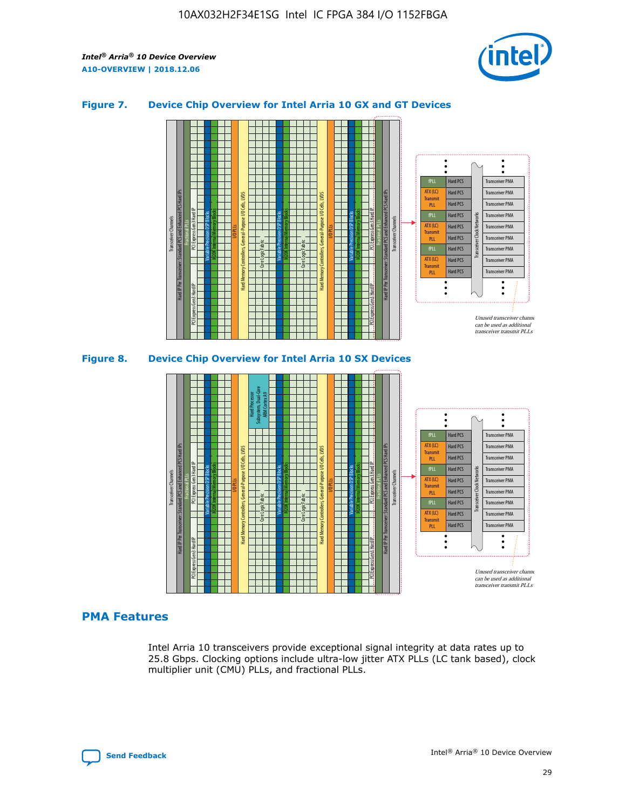

#### **Figure 7. Device Chip Overview for Intel Arria 10 GX and GT Devices**





## **PMA Features**

Intel Arria 10 transceivers provide exceptional signal integrity at data rates up to 25.8 Gbps. Clocking options include ultra-low jitter ATX PLLs (LC tank based), clock multiplier unit (CMU) PLLs, and fractional PLLs.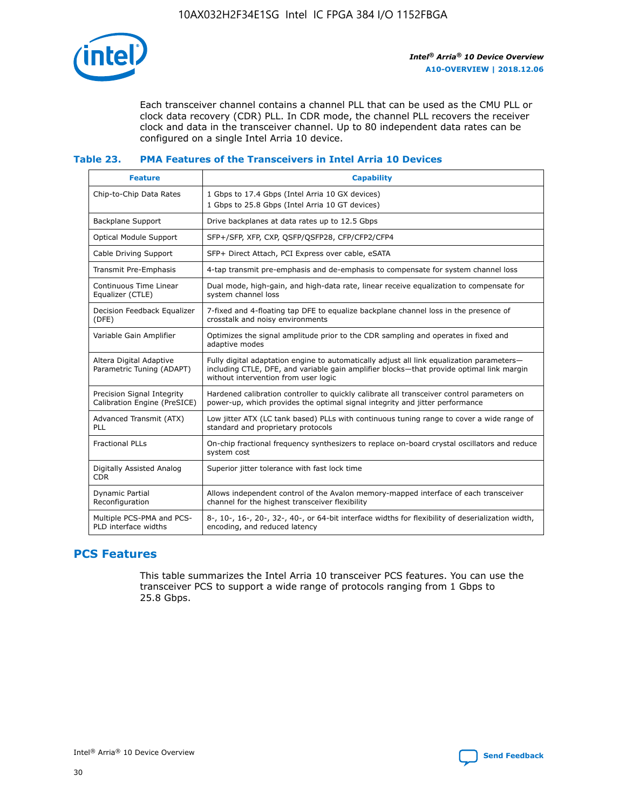

Each transceiver channel contains a channel PLL that can be used as the CMU PLL or clock data recovery (CDR) PLL. In CDR mode, the channel PLL recovers the receiver clock and data in the transceiver channel. Up to 80 independent data rates can be configured on a single Intel Arria 10 device.

#### **Table 23. PMA Features of the Transceivers in Intel Arria 10 Devices**

| <b>Feature</b>                                             | <b>Capability</b>                                                                                                                                                                                                             |
|------------------------------------------------------------|-------------------------------------------------------------------------------------------------------------------------------------------------------------------------------------------------------------------------------|
| Chip-to-Chip Data Rates                                    | 1 Gbps to 17.4 Gbps (Intel Arria 10 GX devices)<br>1 Gbps to 25.8 Gbps (Intel Arria 10 GT devices)                                                                                                                            |
| <b>Backplane Support</b>                                   | Drive backplanes at data rates up to 12.5 Gbps                                                                                                                                                                                |
| <b>Optical Module Support</b>                              | SFP+/SFP, XFP, CXP, QSFP/QSFP28, CFP/CFP2/CFP4                                                                                                                                                                                |
| Cable Driving Support                                      | SFP+ Direct Attach, PCI Express over cable, eSATA                                                                                                                                                                             |
| Transmit Pre-Emphasis                                      | 4-tap transmit pre-emphasis and de-emphasis to compensate for system channel loss                                                                                                                                             |
| Continuous Time Linear<br>Equalizer (CTLE)                 | Dual mode, high-gain, and high-data rate, linear receive equalization to compensate for<br>system channel loss                                                                                                                |
| Decision Feedback Equalizer<br>(DFE)                       | 7-fixed and 4-floating tap DFE to equalize backplane channel loss in the presence of<br>crosstalk and noisy environments                                                                                                      |
| Variable Gain Amplifier                                    | Optimizes the signal amplitude prior to the CDR sampling and operates in fixed and<br>adaptive modes                                                                                                                          |
| Altera Digital Adaptive<br>Parametric Tuning (ADAPT)       | Fully digital adaptation engine to automatically adjust all link equalization parameters-<br>including CTLE, DFE, and variable gain amplifier blocks—that provide optimal link margin<br>without intervention from user logic |
| Precision Signal Integrity<br>Calibration Engine (PreSICE) | Hardened calibration controller to quickly calibrate all transceiver control parameters on<br>power-up, which provides the optimal signal integrity and jitter performance                                                    |
| Advanced Transmit (ATX)<br><b>PLL</b>                      | Low jitter ATX (LC tank based) PLLs with continuous tuning range to cover a wide range of<br>standard and proprietary protocols                                                                                               |
| <b>Fractional PLLs</b>                                     | On-chip fractional frequency synthesizers to replace on-board crystal oscillators and reduce<br>system cost                                                                                                                   |
| Digitally Assisted Analog<br><b>CDR</b>                    | Superior jitter tolerance with fast lock time                                                                                                                                                                                 |
| Dynamic Partial<br>Reconfiguration                         | Allows independent control of the Avalon memory-mapped interface of each transceiver<br>channel for the highest transceiver flexibility                                                                                       |
| Multiple PCS-PMA and PCS-<br>PLD interface widths          | 8-, 10-, 16-, 20-, 32-, 40-, or 64-bit interface widths for flexibility of deserialization width,<br>encoding, and reduced latency                                                                                            |

## **PCS Features**

This table summarizes the Intel Arria 10 transceiver PCS features. You can use the transceiver PCS to support a wide range of protocols ranging from 1 Gbps to 25.8 Gbps.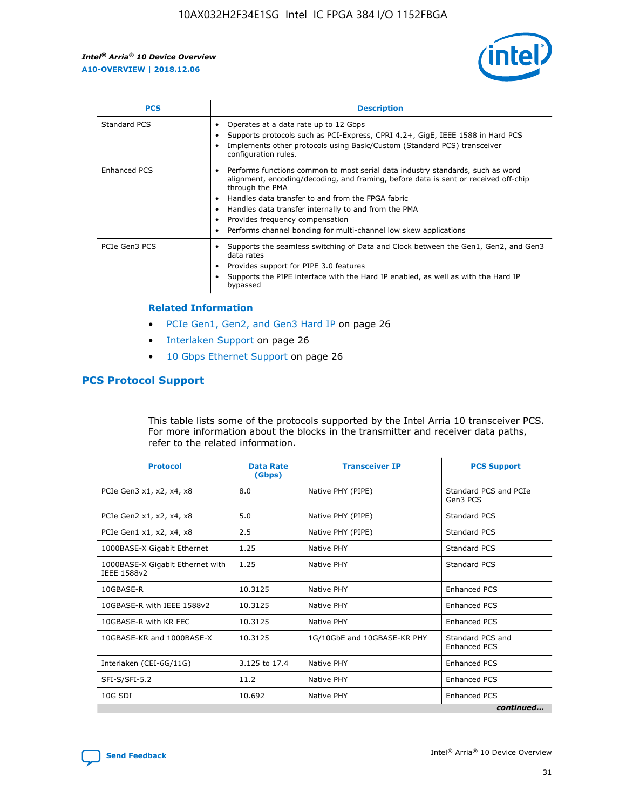

| <b>PCS</b>    | <b>Description</b>                                                                                                                                                                                                                                                                                                                                                                                             |
|---------------|----------------------------------------------------------------------------------------------------------------------------------------------------------------------------------------------------------------------------------------------------------------------------------------------------------------------------------------------------------------------------------------------------------------|
| Standard PCS  | Operates at a data rate up to 12 Gbps<br>Supports protocols such as PCI-Express, CPRI 4.2+, GigE, IEEE 1588 in Hard PCS<br>Implements other protocols using Basic/Custom (Standard PCS) transceiver<br>configuration rules.                                                                                                                                                                                    |
| Enhanced PCS  | Performs functions common to most serial data industry standards, such as word<br>alignment, encoding/decoding, and framing, before data is sent or received off-chip<br>through the PMA<br>• Handles data transfer to and from the FPGA fabric<br>Handles data transfer internally to and from the PMA<br>Provides frequency compensation<br>Performs channel bonding for multi-channel low skew applications |
| PCIe Gen3 PCS | Supports the seamless switching of Data and Clock between the Gen1, Gen2, and Gen3<br>data rates<br>Provides support for PIPE 3.0 features<br>Supports the PIPE interface with the Hard IP enabled, as well as with the Hard IP<br>bypassed                                                                                                                                                                    |

#### **Related Information**

- PCIe Gen1, Gen2, and Gen3 Hard IP on page 26
- Interlaken Support on page 26
- 10 Gbps Ethernet Support on page 26

## **PCS Protocol Support**

This table lists some of the protocols supported by the Intel Arria 10 transceiver PCS. For more information about the blocks in the transmitter and receiver data paths, refer to the related information.

| <b>Protocol</b>                                 | <b>Data Rate</b><br>(Gbps) | <b>Transceiver IP</b>       | <b>PCS Support</b>                      |
|-------------------------------------------------|----------------------------|-----------------------------|-----------------------------------------|
| PCIe Gen3 x1, x2, x4, x8                        | 8.0                        | Native PHY (PIPE)           | Standard PCS and PCIe<br>Gen3 PCS       |
| PCIe Gen2 x1, x2, x4, x8                        | 5.0                        | Native PHY (PIPE)           | <b>Standard PCS</b>                     |
| PCIe Gen1 x1, x2, x4, x8                        | 2.5                        | Native PHY (PIPE)           | Standard PCS                            |
| 1000BASE-X Gigabit Ethernet                     | 1.25                       | Native PHY                  | <b>Standard PCS</b>                     |
| 1000BASE-X Gigabit Ethernet with<br>IEEE 1588v2 | 1.25                       | Native PHY                  | Standard PCS                            |
| 10GBASE-R                                       | 10.3125                    | Native PHY                  | <b>Enhanced PCS</b>                     |
| 10GBASE-R with IEEE 1588v2                      | 10.3125                    | Native PHY                  | <b>Enhanced PCS</b>                     |
| 10GBASE-R with KR FEC                           | 10.3125                    | Native PHY                  | <b>Enhanced PCS</b>                     |
| 10GBASE-KR and 1000BASE-X                       | 10.3125                    | 1G/10GbE and 10GBASE-KR PHY | Standard PCS and<br><b>Enhanced PCS</b> |
| Interlaken (CEI-6G/11G)                         | 3.125 to 17.4              | Native PHY                  | <b>Enhanced PCS</b>                     |
| SFI-S/SFI-5.2                                   | 11.2                       | Native PHY                  | <b>Enhanced PCS</b>                     |
| 10G SDI                                         | 10.692                     | Native PHY                  | <b>Enhanced PCS</b>                     |
|                                                 |                            |                             | continued                               |

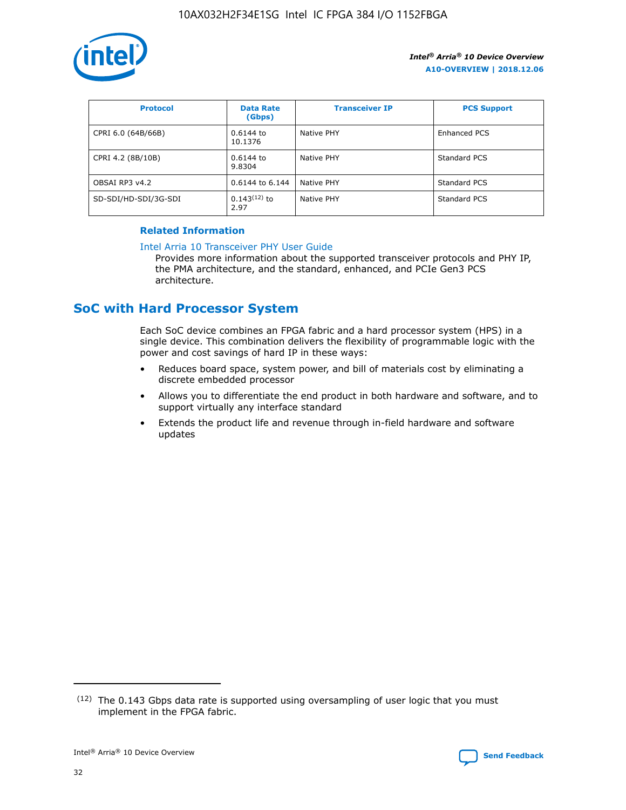

| <b>Protocol</b>      | <b>Data Rate</b><br>(Gbps) | <b>Transceiver IP</b> | <b>PCS Support</b> |
|----------------------|----------------------------|-----------------------|--------------------|
| CPRI 6.0 (64B/66B)   | 0.6144 to<br>10.1376       | Native PHY            | Enhanced PCS       |
| CPRI 4.2 (8B/10B)    | 0.6144 to<br>9.8304        | Native PHY            | Standard PCS       |
| OBSAI RP3 v4.2       | 0.6144 to 6.144            | Native PHY            | Standard PCS       |
| SD-SDI/HD-SDI/3G-SDI | $0.143(12)$ to<br>2.97     | Native PHY            | Standard PCS       |

## **Related Information**

#### [Intel Arria 10 Transceiver PHY User Guide](https://www.intel.com/content/www/us/en/programmable/documentation/nik1398707230472.html#nik1398707091164)

Provides more information about the supported transceiver protocols and PHY IP, the PMA architecture, and the standard, enhanced, and PCIe Gen3 PCS architecture.

# **SoC with Hard Processor System**

Each SoC device combines an FPGA fabric and a hard processor system (HPS) in a single device. This combination delivers the flexibility of programmable logic with the power and cost savings of hard IP in these ways:

- Reduces board space, system power, and bill of materials cost by eliminating a discrete embedded processor
- Allows you to differentiate the end product in both hardware and software, and to support virtually any interface standard
- Extends the product life and revenue through in-field hardware and software updates

 $(12)$  The 0.143 Gbps data rate is supported using oversampling of user logic that you must implement in the FPGA fabric.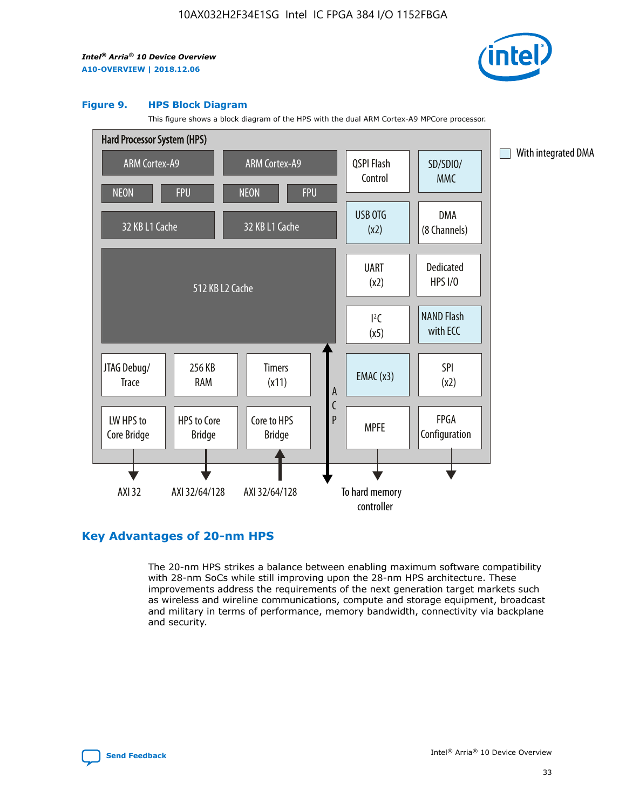

#### **Figure 9. HPS Block Diagram**

This figure shows a block diagram of the HPS with the dual ARM Cortex-A9 MPCore processor.



## **Key Advantages of 20-nm HPS**

The 20-nm HPS strikes a balance between enabling maximum software compatibility with 28-nm SoCs while still improving upon the 28-nm HPS architecture. These improvements address the requirements of the next generation target markets such as wireless and wireline communications, compute and storage equipment, broadcast and military in terms of performance, memory bandwidth, connectivity via backplane and security.

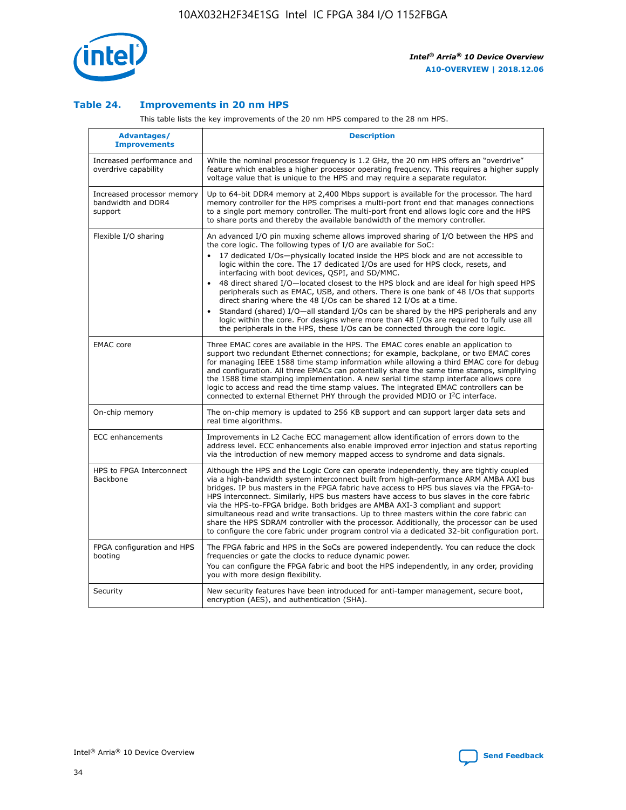

## **Table 24. Improvements in 20 nm HPS**

This table lists the key improvements of the 20 nm HPS compared to the 28 nm HPS.

| Advantages/<br><b>Improvements</b>                          | <b>Description</b>                                                                                                                                                                                                                                                                                                                                                                                                                                                                                                                                                                                                                                                                                                                                                                                                                                                                                                      |
|-------------------------------------------------------------|-------------------------------------------------------------------------------------------------------------------------------------------------------------------------------------------------------------------------------------------------------------------------------------------------------------------------------------------------------------------------------------------------------------------------------------------------------------------------------------------------------------------------------------------------------------------------------------------------------------------------------------------------------------------------------------------------------------------------------------------------------------------------------------------------------------------------------------------------------------------------------------------------------------------------|
| Increased performance and<br>overdrive capability           | While the nominal processor frequency is 1.2 GHz, the 20 nm HPS offers an "overdrive"<br>feature which enables a higher processor operating frequency. This requires a higher supply<br>voltage value that is unique to the HPS and may require a separate regulator.                                                                                                                                                                                                                                                                                                                                                                                                                                                                                                                                                                                                                                                   |
| Increased processor memory<br>bandwidth and DDR4<br>support | Up to 64-bit DDR4 memory at 2,400 Mbps support is available for the processor. The hard<br>memory controller for the HPS comprises a multi-port front end that manages connections<br>to a single port memory controller. The multi-port front end allows logic core and the HPS<br>to share ports and thereby the available bandwidth of the memory controller.                                                                                                                                                                                                                                                                                                                                                                                                                                                                                                                                                        |
| Flexible I/O sharing                                        | An advanced I/O pin muxing scheme allows improved sharing of I/O between the HPS and<br>the core logic. The following types of I/O are available for SoC:<br>17 dedicated I/Os-physically located inside the HPS block and are not accessible to<br>logic within the core. The 17 dedicated I/Os are used for HPS clock, resets, and<br>interfacing with boot devices, QSPI, and SD/MMC.<br>48 direct shared I/O-located closest to the HPS block and are ideal for high speed HPS<br>peripherals such as EMAC, USB, and others. There is one bank of 48 I/Os that supports<br>direct sharing where the 48 I/Os can be shared 12 I/Os at a time.<br>Standard (shared) I/O-all standard I/Os can be shared by the HPS peripherals and any<br>logic within the core. For designs where more than 48 I/Os are required to fully use all<br>the peripherals in the HPS, these I/Os can be connected through the core logic. |
| <b>EMAC</b> core                                            | Three EMAC cores are available in the HPS. The EMAC cores enable an application to<br>support two redundant Ethernet connections; for example, backplane, or two EMAC cores<br>for managing IEEE 1588 time stamp information while allowing a third EMAC core for debug<br>and configuration. All three EMACs can potentially share the same time stamps, simplifying<br>the 1588 time stamping implementation. A new serial time stamp interface allows core<br>logic to access and read the time stamp values. The integrated EMAC controllers can be<br>connected to external Ethernet PHY through the provided MDIO or I <sup>2</sup> C interface.                                                                                                                                                                                                                                                                  |
| On-chip memory                                              | The on-chip memory is updated to 256 KB support and can support larger data sets and<br>real time algorithms.                                                                                                                                                                                                                                                                                                                                                                                                                                                                                                                                                                                                                                                                                                                                                                                                           |
| <b>ECC</b> enhancements                                     | Improvements in L2 Cache ECC management allow identification of errors down to the<br>address level. ECC enhancements also enable improved error injection and status reporting<br>via the introduction of new memory mapped access to syndrome and data signals.                                                                                                                                                                                                                                                                                                                                                                                                                                                                                                                                                                                                                                                       |
| HPS to FPGA Interconnect<br>Backbone                        | Although the HPS and the Logic Core can operate independently, they are tightly coupled<br>via a high-bandwidth system interconnect built from high-performance ARM AMBA AXI bus<br>bridges. IP bus masters in the FPGA fabric have access to HPS bus slaves via the FPGA-to-<br>HPS interconnect. Similarly, HPS bus masters have access to bus slaves in the core fabric<br>via the HPS-to-FPGA bridge. Both bridges are AMBA AXI-3 compliant and support<br>simultaneous read and write transactions. Up to three masters within the core fabric can<br>share the HPS SDRAM controller with the processor. Additionally, the processor can be used<br>to configure the core fabric under program control via a dedicated 32-bit configuration port.                                                                                                                                                                  |
| FPGA configuration and HPS<br>booting                       | The FPGA fabric and HPS in the SoCs are powered independently. You can reduce the clock<br>frequencies or gate the clocks to reduce dynamic power.<br>You can configure the FPGA fabric and boot the HPS independently, in any order, providing<br>you with more design flexibility.                                                                                                                                                                                                                                                                                                                                                                                                                                                                                                                                                                                                                                    |
| Security                                                    | New security features have been introduced for anti-tamper management, secure boot,<br>encryption (AES), and authentication (SHA).                                                                                                                                                                                                                                                                                                                                                                                                                                                                                                                                                                                                                                                                                                                                                                                      |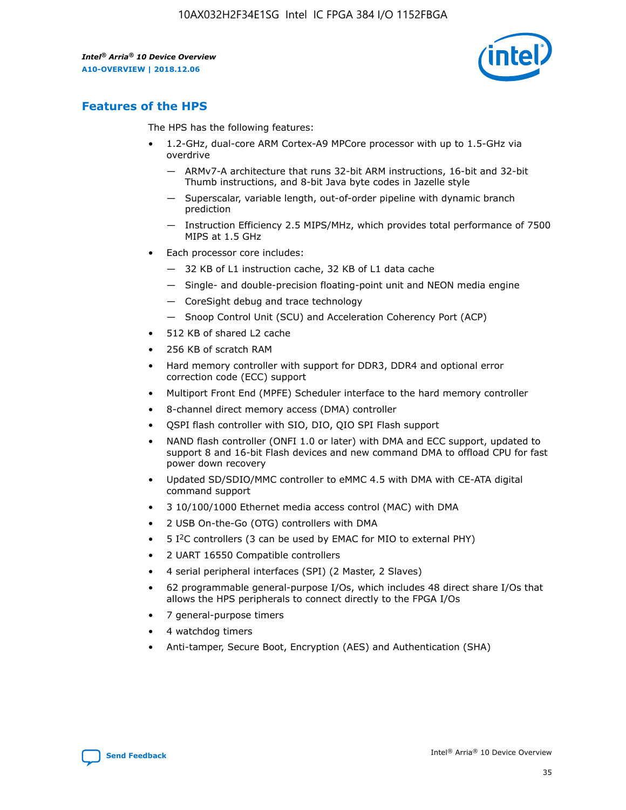

## **Features of the HPS**

The HPS has the following features:

- 1.2-GHz, dual-core ARM Cortex-A9 MPCore processor with up to 1.5-GHz via overdrive
	- ARMv7-A architecture that runs 32-bit ARM instructions, 16-bit and 32-bit Thumb instructions, and 8-bit Java byte codes in Jazelle style
	- Superscalar, variable length, out-of-order pipeline with dynamic branch prediction
	- Instruction Efficiency 2.5 MIPS/MHz, which provides total performance of 7500 MIPS at 1.5 GHz
- Each processor core includes:
	- 32 KB of L1 instruction cache, 32 KB of L1 data cache
	- Single- and double-precision floating-point unit and NEON media engine
	- CoreSight debug and trace technology
	- Snoop Control Unit (SCU) and Acceleration Coherency Port (ACP)
- 512 KB of shared L2 cache
- 256 KB of scratch RAM
- Hard memory controller with support for DDR3, DDR4 and optional error correction code (ECC) support
- Multiport Front End (MPFE) Scheduler interface to the hard memory controller
- 8-channel direct memory access (DMA) controller
- QSPI flash controller with SIO, DIO, QIO SPI Flash support
- NAND flash controller (ONFI 1.0 or later) with DMA and ECC support, updated to support 8 and 16-bit Flash devices and new command DMA to offload CPU for fast power down recovery
- Updated SD/SDIO/MMC controller to eMMC 4.5 with DMA with CE-ATA digital command support
- 3 10/100/1000 Ethernet media access control (MAC) with DMA
- 2 USB On-the-Go (OTG) controllers with DMA
- $\bullet$  5 I<sup>2</sup>C controllers (3 can be used by EMAC for MIO to external PHY)
- 2 UART 16550 Compatible controllers
- 4 serial peripheral interfaces (SPI) (2 Master, 2 Slaves)
- 62 programmable general-purpose I/Os, which includes 48 direct share I/Os that allows the HPS peripherals to connect directly to the FPGA I/Os
- 7 general-purpose timers
- 4 watchdog timers
- Anti-tamper, Secure Boot, Encryption (AES) and Authentication (SHA)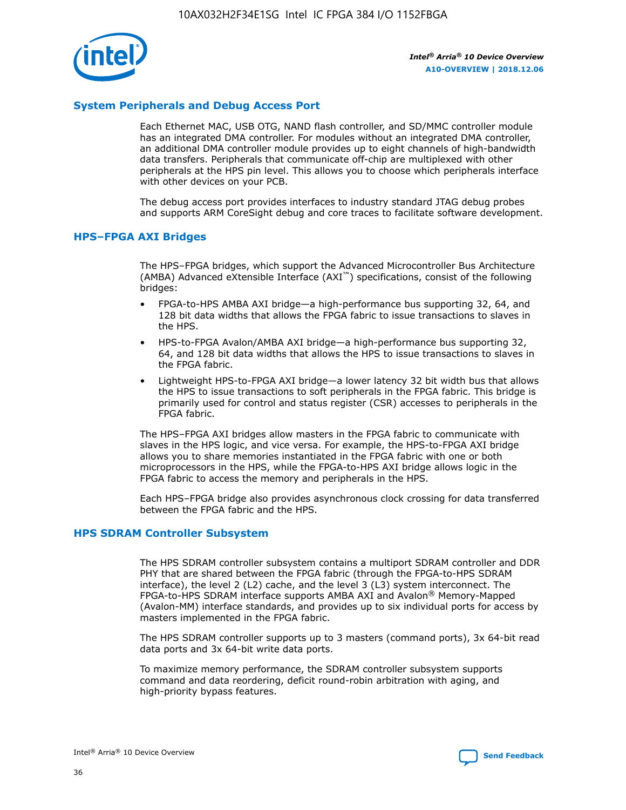

## **System Peripherals and Debug Access Port**

Each Ethernet MAC, USB OTG, NAND flash controller, and SD/MMC controller module has an integrated DMA controller. For modules without an integrated DMA controller, an additional DMA controller module provides up to eight channels of high-bandwidth data transfers. Peripherals that communicate off-chip are multiplexed with other peripherals at the HPS pin level. This allows you to choose which peripherals interface with other devices on your PCB.

The debug access port provides interfaces to industry standard JTAG debug probes and supports ARM CoreSight debug and core traces to facilitate software development.

## **HPS–FPGA AXI Bridges**

The HPS–FPGA bridges, which support the Advanced Microcontroller Bus Architecture (AMBA) Advanced eXtensible Interface (AXI™) specifications, consist of the following bridges:

- FPGA-to-HPS AMBA AXI bridge—a high-performance bus supporting 32, 64, and 128 bit data widths that allows the FPGA fabric to issue transactions to slaves in the HPS.
- HPS-to-FPGA Avalon/AMBA AXI bridge—a high-performance bus supporting 32, 64, and 128 bit data widths that allows the HPS to issue transactions to slaves in the FPGA fabric.
- Lightweight HPS-to-FPGA AXI bridge—a lower latency 32 bit width bus that allows the HPS to issue transactions to soft peripherals in the FPGA fabric. This bridge is primarily used for control and status register (CSR) accesses to peripherals in the FPGA fabric.

The HPS–FPGA AXI bridges allow masters in the FPGA fabric to communicate with slaves in the HPS logic, and vice versa. For example, the HPS-to-FPGA AXI bridge allows you to share memories instantiated in the FPGA fabric with one or both microprocessors in the HPS, while the FPGA-to-HPS AXI bridge allows logic in the FPGA fabric to access the memory and peripherals in the HPS.

Each HPS–FPGA bridge also provides asynchronous clock crossing for data transferred between the FPGA fabric and the HPS.

#### **HPS SDRAM Controller Subsystem**

The HPS SDRAM controller subsystem contains a multiport SDRAM controller and DDR PHY that are shared between the FPGA fabric (through the FPGA-to-HPS SDRAM interface), the level 2 (L2) cache, and the level 3 (L3) system interconnect. The FPGA-to-HPS SDRAM interface supports AMBA AXI and Avalon® Memory-Mapped (Avalon-MM) interface standards, and provides up to six individual ports for access by masters implemented in the FPGA fabric.

The HPS SDRAM controller supports up to 3 masters (command ports), 3x 64-bit read data ports and 3x 64-bit write data ports.

To maximize memory performance, the SDRAM controller subsystem supports command and data reordering, deficit round-robin arbitration with aging, and high-priority bypass features.

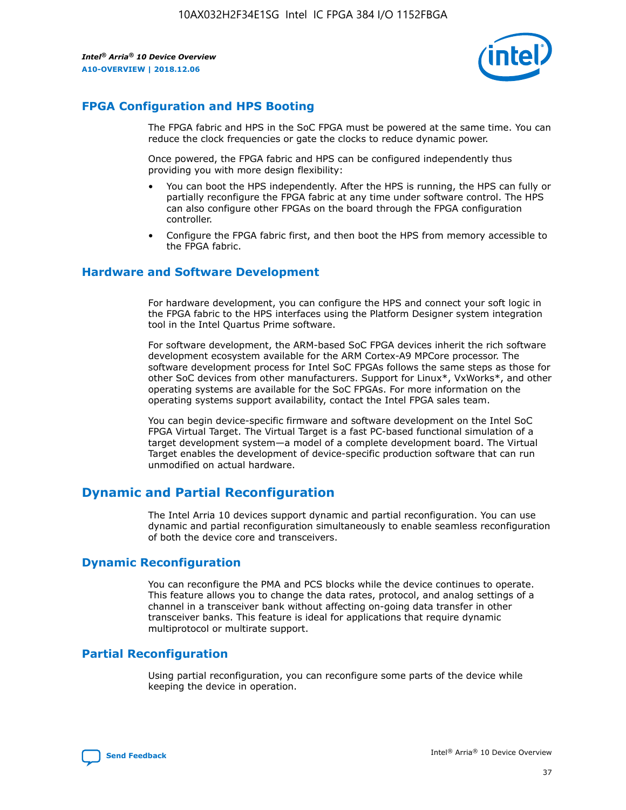

## **FPGA Configuration and HPS Booting**

The FPGA fabric and HPS in the SoC FPGA must be powered at the same time. You can reduce the clock frequencies or gate the clocks to reduce dynamic power.

Once powered, the FPGA fabric and HPS can be configured independently thus providing you with more design flexibility:

- You can boot the HPS independently. After the HPS is running, the HPS can fully or partially reconfigure the FPGA fabric at any time under software control. The HPS can also configure other FPGAs on the board through the FPGA configuration controller.
- Configure the FPGA fabric first, and then boot the HPS from memory accessible to the FPGA fabric.

## **Hardware and Software Development**

For hardware development, you can configure the HPS and connect your soft logic in the FPGA fabric to the HPS interfaces using the Platform Designer system integration tool in the Intel Quartus Prime software.

For software development, the ARM-based SoC FPGA devices inherit the rich software development ecosystem available for the ARM Cortex-A9 MPCore processor. The software development process for Intel SoC FPGAs follows the same steps as those for other SoC devices from other manufacturers. Support for Linux\*, VxWorks\*, and other operating systems are available for the SoC FPGAs. For more information on the operating systems support availability, contact the Intel FPGA sales team.

You can begin device-specific firmware and software development on the Intel SoC FPGA Virtual Target. The Virtual Target is a fast PC-based functional simulation of a target development system—a model of a complete development board. The Virtual Target enables the development of device-specific production software that can run unmodified on actual hardware.

## **Dynamic and Partial Reconfiguration**

The Intel Arria 10 devices support dynamic and partial reconfiguration. You can use dynamic and partial reconfiguration simultaneously to enable seamless reconfiguration of both the device core and transceivers.

## **Dynamic Reconfiguration**

You can reconfigure the PMA and PCS blocks while the device continues to operate. This feature allows you to change the data rates, protocol, and analog settings of a channel in a transceiver bank without affecting on-going data transfer in other transceiver banks. This feature is ideal for applications that require dynamic multiprotocol or multirate support.

## **Partial Reconfiguration**

Using partial reconfiguration, you can reconfigure some parts of the device while keeping the device in operation.

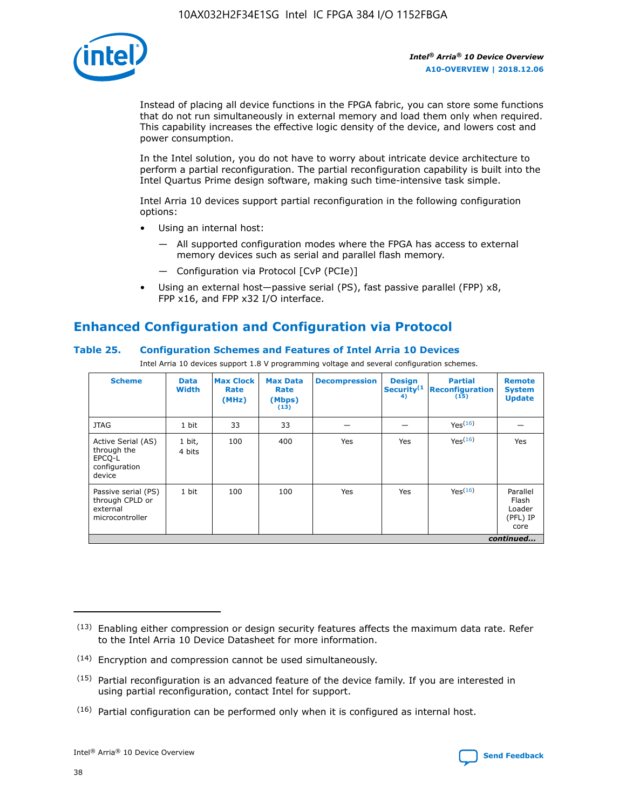

Instead of placing all device functions in the FPGA fabric, you can store some functions that do not run simultaneously in external memory and load them only when required. This capability increases the effective logic density of the device, and lowers cost and power consumption.

In the Intel solution, you do not have to worry about intricate device architecture to perform a partial reconfiguration. The partial reconfiguration capability is built into the Intel Quartus Prime design software, making such time-intensive task simple.

Intel Arria 10 devices support partial reconfiguration in the following configuration options:

- Using an internal host:
	- All supported configuration modes where the FPGA has access to external memory devices such as serial and parallel flash memory.
	- Configuration via Protocol [CvP (PCIe)]
- Using an external host—passive serial (PS), fast passive parallel (FPP) x8, FPP x16, and FPP x32 I/O interface.

# **Enhanced Configuration and Configuration via Protocol**

## **Table 25. Configuration Schemes and Features of Intel Arria 10 Devices**

Intel Arria 10 devices support 1.8 V programming voltage and several configuration schemes.

| <b>Scheme</b>                                                          | <b>Data</b><br><b>Width</b> | <b>Max Clock</b><br>Rate<br>(MHz) | <b>Max Data</b><br>Rate<br>(Mbps)<br>(13) | <b>Decompression</b> | <b>Design</b><br>Security <sup>(1</sup><br>4) | <b>Partial</b><br>Reconfiguration<br>(15) | <b>Remote</b><br><b>System</b><br><b>Update</b> |
|------------------------------------------------------------------------|-----------------------------|-----------------------------------|-------------------------------------------|----------------------|-----------------------------------------------|-------------------------------------------|-------------------------------------------------|
| <b>JTAG</b>                                                            | 1 bit                       | 33                                | 33                                        |                      |                                               | Yes <sup>(16)</sup>                       |                                                 |
| Active Serial (AS)<br>through the<br>EPCO-L<br>configuration<br>device | 1 bit,<br>4 bits            | 100                               | 400                                       | Yes                  | Yes                                           | $Y_{PS}(16)$                              | Yes                                             |
| Passive serial (PS)<br>through CPLD or<br>external<br>microcontroller  | 1 bit                       | 100                               | 100                                       | Yes                  | Yes                                           | Yes(16)                                   | Parallel<br>Flash<br>Loader<br>(PFL) IP<br>core |
|                                                                        |                             |                                   |                                           |                      |                                               |                                           | continued                                       |

<sup>(13)</sup> Enabling either compression or design security features affects the maximum data rate. Refer to the Intel Arria 10 Device Datasheet for more information.

<sup>(14)</sup> Encryption and compression cannot be used simultaneously.

 $<sup>(15)</sup>$  Partial reconfiguration is an advanced feature of the device family. If you are interested in</sup> using partial reconfiguration, contact Intel for support.

 $(16)$  Partial configuration can be performed only when it is configured as internal host.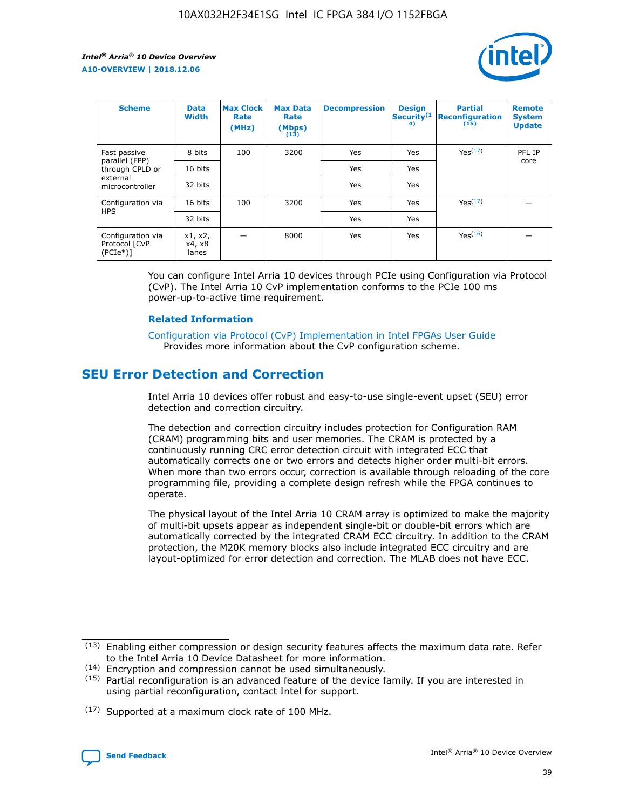

| <b>Scheme</b>                                    | <b>Data</b><br><b>Width</b> | <b>Max Clock</b><br>Rate<br>(MHz) | <b>Max Data</b><br>Rate<br>(Mbps)<br>(13) | <b>Decompression</b> | <b>Design</b><br>Security <sup>(1</sup><br>4) | <b>Partial</b><br><b>Reconfiguration</b><br>(15) | <b>Remote</b><br><b>System</b><br><b>Update</b> |
|--------------------------------------------------|-----------------------------|-----------------------------------|-------------------------------------------|----------------------|-----------------------------------------------|--------------------------------------------------|-------------------------------------------------|
| Fast passive                                     | 8 bits                      | 100                               | 3200                                      | Yes                  | Yes                                           | Yes(17)                                          | PFL IP                                          |
| parallel (FPP)<br>through CPLD or                | 16 bits                     |                                   |                                           | Yes                  | Yes                                           |                                                  | core                                            |
| external<br>microcontroller                      | 32 bits                     |                                   |                                           | Yes                  | Yes                                           |                                                  |                                                 |
| Configuration via                                | 16 bits                     | 100                               | 3200                                      | Yes                  | Yes                                           | Yes <sup>(17)</sup>                              |                                                 |
| <b>HPS</b>                                       | 32 bits                     |                                   |                                           | Yes                  | Yes                                           |                                                  |                                                 |
| Configuration via<br>Protocol [CvP<br>$(PCIe^*)$ | x1, x2,<br>x4, x8<br>lanes  |                                   | 8000                                      | Yes                  | Yes                                           | Yes <sup>(16)</sup>                              |                                                 |

You can configure Intel Arria 10 devices through PCIe using Configuration via Protocol (CvP). The Intel Arria 10 CvP implementation conforms to the PCIe 100 ms power-up-to-active time requirement.

#### **Related Information**

[Configuration via Protocol \(CvP\) Implementation in Intel FPGAs User Guide](https://www.intel.com/content/www/us/en/programmable/documentation/dsu1441819344145.html#dsu1442269728522) Provides more information about the CvP configuration scheme.

# **SEU Error Detection and Correction**

Intel Arria 10 devices offer robust and easy-to-use single-event upset (SEU) error detection and correction circuitry.

The detection and correction circuitry includes protection for Configuration RAM (CRAM) programming bits and user memories. The CRAM is protected by a continuously running CRC error detection circuit with integrated ECC that automatically corrects one or two errors and detects higher order multi-bit errors. When more than two errors occur, correction is available through reloading of the core programming file, providing a complete design refresh while the FPGA continues to operate.

The physical layout of the Intel Arria 10 CRAM array is optimized to make the majority of multi-bit upsets appear as independent single-bit or double-bit errors which are automatically corrected by the integrated CRAM ECC circuitry. In addition to the CRAM protection, the M20K memory blocks also include integrated ECC circuitry and are layout-optimized for error detection and correction. The MLAB does not have ECC.

(14) Encryption and compression cannot be used simultaneously.

<sup>(17)</sup> Supported at a maximum clock rate of 100 MHz.



 $(13)$  Enabling either compression or design security features affects the maximum data rate. Refer to the Intel Arria 10 Device Datasheet for more information.

 $(15)$  Partial reconfiguration is an advanced feature of the device family. If you are interested in using partial reconfiguration, contact Intel for support.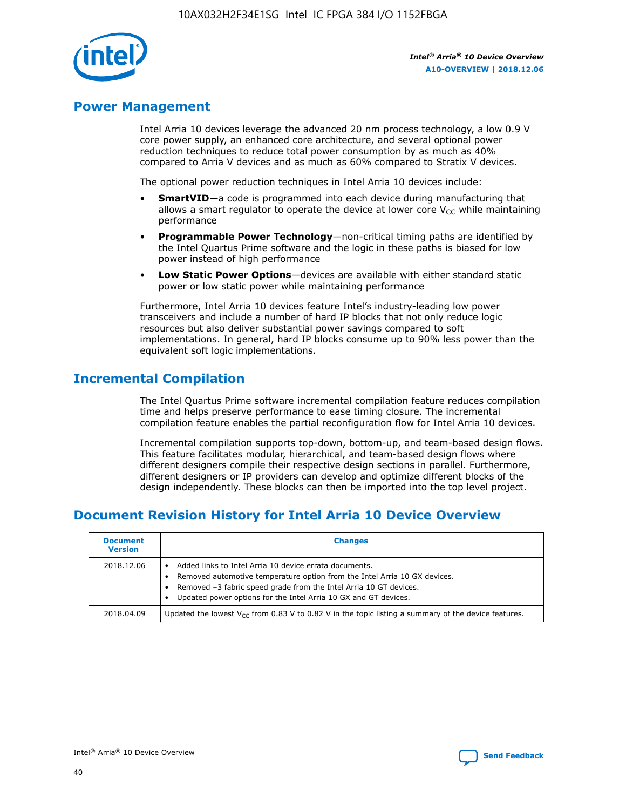

## **Power Management**

Intel Arria 10 devices leverage the advanced 20 nm process technology, a low 0.9 V core power supply, an enhanced core architecture, and several optional power reduction techniques to reduce total power consumption by as much as 40% compared to Arria V devices and as much as 60% compared to Stratix V devices.

The optional power reduction techniques in Intel Arria 10 devices include:

- **SmartVID**—a code is programmed into each device during manufacturing that allows a smart regulator to operate the device at lower core  $V_{CC}$  while maintaining performance
- **Programmable Power Technology**—non-critical timing paths are identified by the Intel Quartus Prime software and the logic in these paths is biased for low power instead of high performance
- **Low Static Power Options**—devices are available with either standard static power or low static power while maintaining performance

Furthermore, Intel Arria 10 devices feature Intel's industry-leading low power transceivers and include a number of hard IP blocks that not only reduce logic resources but also deliver substantial power savings compared to soft implementations. In general, hard IP blocks consume up to 90% less power than the equivalent soft logic implementations.

# **Incremental Compilation**

The Intel Quartus Prime software incremental compilation feature reduces compilation time and helps preserve performance to ease timing closure. The incremental compilation feature enables the partial reconfiguration flow for Intel Arria 10 devices.

Incremental compilation supports top-down, bottom-up, and team-based design flows. This feature facilitates modular, hierarchical, and team-based design flows where different designers compile their respective design sections in parallel. Furthermore, different designers or IP providers can develop and optimize different blocks of the design independently. These blocks can then be imported into the top level project.

# **Document Revision History for Intel Arria 10 Device Overview**

| <b>Document</b><br><b>Version</b> | <b>Changes</b>                                                                                                                                                                                                                                                              |
|-----------------------------------|-----------------------------------------------------------------------------------------------------------------------------------------------------------------------------------------------------------------------------------------------------------------------------|
| 2018.12.06                        | Added links to Intel Arria 10 device errata documents.<br>Removed automotive temperature option from the Intel Arria 10 GX devices.<br>Removed -3 fabric speed grade from the Intel Arria 10 GT devices.<br>Updated power options for the Intel Arria 10 GX and GT devices. |
| 2018.04.09                        | Updated the lowest $V_{CC}$ from 0.83 V to 0.82 V in the topic listing a summary of the device features.                                                                                                                                                                    |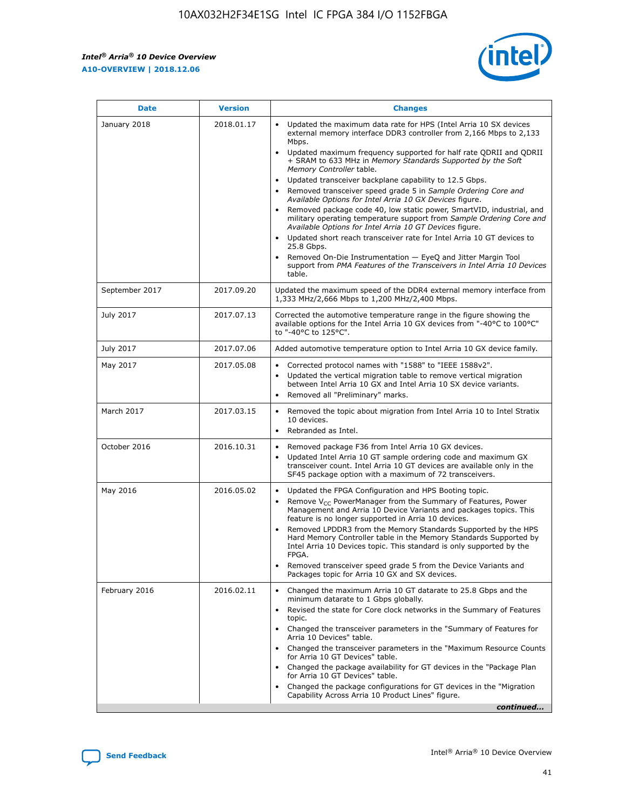

| <b>Date</b>    | <b>Version</b> | <b>Changes</b>                                                                                                                                                                                                                                                                                                                                                                                                                                                                                                                                                                                                                                                                                                                                                                                                                                                                                                                                               |
|----------------|----------------|--------------------------------------------------------------------------------------------------------------------------------------------------------------------------------------------------------------------------------------------------------------------------------------------------------------------------------------------------------------------------------------------------------------------------------------------------------------------------------------------------------------------------------------------------------------------------------------------------------------------------------------------------------------------------------------------------------------------------------------------------------------------------------------------------------------------------------------------------------------------------------------------------------------------------------------------------------------|
| January 2018   | 2018.01.17     | Updated the maximum data rate for HPS (Intel Arria 10 SX devices<br>external memory interface DDR3 controller from 2,166 Mbps to 2,133<br>Mbps.<br>Updated maximum frequency supported for half rate QDRII and QDRII<br>+ SRAM to 633 MHz in Memory Standards Supported by the Soft<br>Memory Controller table.<br>Updated transceiver backplane capability to 12.5 Gbps.<br>Removed transceiver speed grade 5 in Sample Ordering Core and<br>Available Options for Intel Arria 10 GX Devices figure.<br>Removed package code 40, low static power, SmartVID, industrial, and<br>military operating temperature support from Sample Ordering Core and<br>Available Options for Intel Arria 10 GT Devices figure.<br>Updated short reach transceiver rate for Intel Arria 10 GT devices to<br>25.8 Gbps.<br>Removed On-Die Instrumentation - EyeQ and Jitter Margin Tool<br>support from PMA Features of the Transceivers in Intel Arria 10 Devices<br>table. |
| September 2017 | 2017.09.20     | Updated the maximum speed of the DDR4 external memory interface from<br>1,333 MHz/2,666 Mbps to 1,200 MHz/2,400 Mbps.                                                                                                                                                                                                                                                                                                                                                                                                                                                                                                                                                                                                                                                                                                                                                                                                                                        |
| July 2017      | 2017.07.13     | Corrected the automotive temperature range in the figure showing the<br>available options for the Intel Arria 10 GX devices from "-40°C to 100°C"<br>to "-40°C to 125°C".                                                                                                                                                                                                                                                                                                                                                                                                                                                                                                                                                                                                                                                                                                                                                                                    |
| July 2017      | 2017.07.06     | Added automotive temperature option to Intel Arria 10 GX device family.                                                                                                                                                                                                                                                                                                                                                                                                                                                                                                                                                                                                                                                                                                                                                                                                                                                                                      |
| May 2017       | 2017.05.08     | Corrected protocol names with "1588" to "IEEE 1588v2".<br>Updated the vertical migration table to remove vertical migration<br>$\bullet$<br>between Intel Arria 10 GX and Intel Arria 10 SX device variants.<br>Removed all "Preliminary" marks.                                                                                                                                                                                                                                                                                                                                                                                                                                                                                                                                                                                                                                                                                                             |
| March 2017     | 2017.03.15     | Removed the topic about migration from Intel Arria 10 to Intel Stratix<br>10 devices.<br>Rebranded as Intel.<br>$\bullet$                                                                                                                                                                                                                                                                                                                                                                                                                                                                                                                                                                                                                                                                                                                                                                                                                                    |
| October 2016   | 2016.10.31     | Removed package F36 from Intel Arria 10 GX devices.<br>Updated Intel Arria 10 GT sample ordering code and maximum GX<br>$\bullet$<br>transceiver count. Intel Arria 10 GT devices are available only in the<br>SF45 package option with a maximum of 72 transceivers.                                                                                                                                                                                                                                                                                                                                                                                                                                                                                                                                                                                                                                                                                        |
| May 2016       | 2016.05.02     | Updated the FPGA Configuration and HPS Booting topic.<br>$\bullet$<br>Remove V <sub>CC</sub> PowerManager from the Summary of Features, Power<br>Management and Arria 10 Device Variants and packages topics. This<br>feature is no longer supported in Arria 10 devices.<br>Removed LPDDR3 from the Memory Standards Supported by the HPS<br>Hard Memory Controller table in the Memory Standards Supported by<br>Intel Arria 10 Devices topic. This standard is only supported by the<br>FPGA.<br>Removed transceiver speed grade 5 from the Device Variants and<br>Packages topic for Arria 10 GX and SX devices.                                                                                                                                                                                                                                                                                                                                         |
| February 2016  | 2016.02.11     | Changed the maximum Arria 10 GT datarate to 25.8 Gbps and the<br>minimum datarate to 1 Gbps globally.<br>Revised the state for Core clock networks in the Summary of Features<br>topic.<br>Changed the transceiver parameters in the "Summary of Features for<br>Arria 10 Devices" table.<br>Changed the transceiver parameters in the "Maximum Resource Counts"<br>for Arria 10 GT Devices" table.<br>Changed the package availability for GT devices in the "Package Plan<br>for Arria 10 GT Devices" table.<br>Changed the package configurations for GT devices in the "Migration"<br>Capability Across Arria 10 Product Lines" figure.<br>continued                                                                                                                                                                                                                                                                                                     |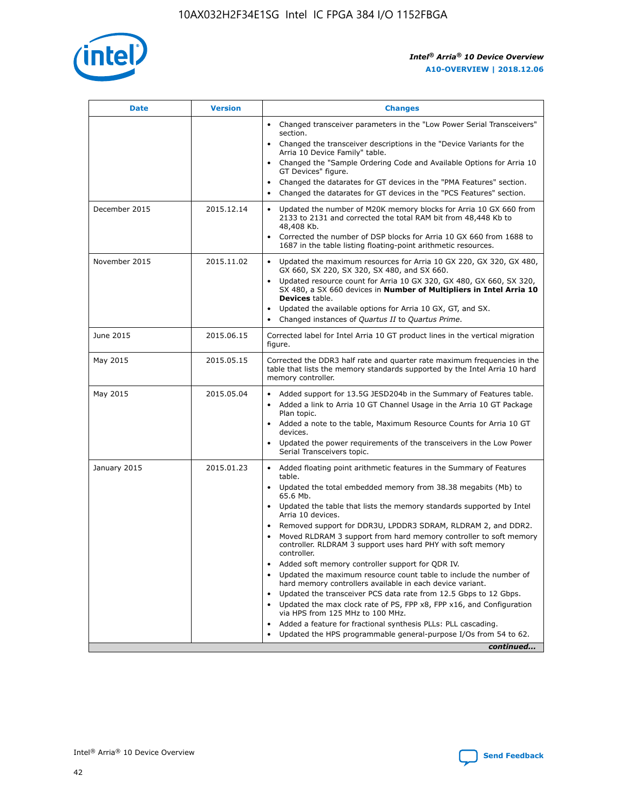

| <b>Date</b>   | <b>Version</b> | <b>Changes</b>                                                                                                                                                               |
|---------------|----------------|------------------------------------------------------------------------------------------------------------------------------------------------------------------------------|
|               |                | • Changed transceiver parameters in the "Low Power Serial Transceivers"<br>section.                                                                                          |
|               |                | • Changed the transceiver descriptions in the "Device Variants for the<br>Arria 10 Device Family" table.                                                                     |
|               |                | Changed the "Sample Ordering Code and Available Options for Arria 10<br>$\bullet$<br>GT Devices" figure.                                                                     |
|               |                | Changed the datarates for GT devices in the "PMA Features" section.                                                                                                          |
|               |                | Changed the datarates for GT devices in the "PCS Features" section.<br>$\bullet$                                                                                             |
| December 2015 | 2015.12.14     | Updated the number of M20K memory blocks for Arria 10 GX 660 from<br>2133 to 2131 and corrected the total RAM bit from 48,448 Kb to<br>48,408 Kb.                            |
|               |                | Corrected the number of DSP blocks for Arria 10 GX 660 from 1688 to<br>1687 in the table listing floating-point arithmetic resources.                                        |
| November 2015 | 2015.11.02     | Updated the maximum resources for Arria 10 GX 220, GX 320, GX 480,<br>$\bullet$<br>GX 660, SX 220, SX 320, SX 480, and SX 660.                                               |
|               |                | • Updated resource count for Arria 10 GX 320, GX 480, GX 660, SX 320,<br>SX 480, a SX 660 devices in Number of Multipliers in Intel Arria 10<br><b>Devices</b> table.        |
|               |                | Updated the available options for Arria 10 GX, GT, and SX.                                                                                                                   |
|               |                | Changed instances of Quartus II to Quartus Prime.<br>$\bullet$                                                                                                               |
| June 2015     | 2015.06.15     | Corrected label for Intel Arria 10 GT product lines in the vertical migration<br>figure.                                                                                     |
| May 2015      | 2015.05.15     | Corrected the DDR3 half rate and quarter rate maximum frequencies in the<br>table that lists the memory standards supported by the Intel Arria 10 hard<br>memory controller. |
| May 2015      | 2015.05.04     | • Added support for 13.5G JESD204b in the Summary of Features table.                                                                                                         |
|               |                | • Added a link to Arria 10 GT Channel Usage in the Arria 10 GT Package<br>Plan topic.                                                                                        |
|               |                | • Added a note to the table, Maximum Resource Counts for Arria 10 GT<br>devices.                                                                                             |
|               |                | • Updated the power requirements of the transceivers in the Low Power<br>Serial Transceivers topic.                                                                          |
| January 2015  | 2015.01.23     | • Added floating point arithmetic features in the Summary of Features<br>table.                                                                                              |
|               |                | • Updated the total embedded memory from 38.38 megabits (Mb) to<br>65.6 Mb.                                                                                                  |
|               |                | • Updated the table that lists the memory standards supported by Intel<br>Arria 10 devices.                                                                                  |
|               |                | Removed support for DDR3U, LPDDR3 SDRAM, RLDRAM 2, and DDR2.                                                                                                                 |
|               |                | Moved RLDRAM 3 support from hard memory controller to soft memory<br>controller. RLDRAM 3 support uses hard PHY with soft memory<br>controller.                              |
|               |                | Added soft memory controller support for QDR IV.<br>٠                                                                                                                        |
|               |                | Updated the maximum resource count table to include the number of<br>hard memory controllers available in each device variant.                                               |
|               |                | Updated the transceiver PCS data rate from 12.5 Gbps to 12 Gbps.<br>$\bullet$                                                                                                |
|               |                | Updated the max clock rate of PS, FPP x8, FPP x16, and Configuration<br>via HPS from 125 MHz to 100 MHz.                                                                     |
|               |                | Added a feature for fractional synthesis PLLs: PLL cascading.                                                                                                                |
|               |                | Updated the HPS programmable general-purpose I/Os from 54 to 62.<br>$\bullet$                                                                                                |
|               |                | continued                                                                                                                                                                    |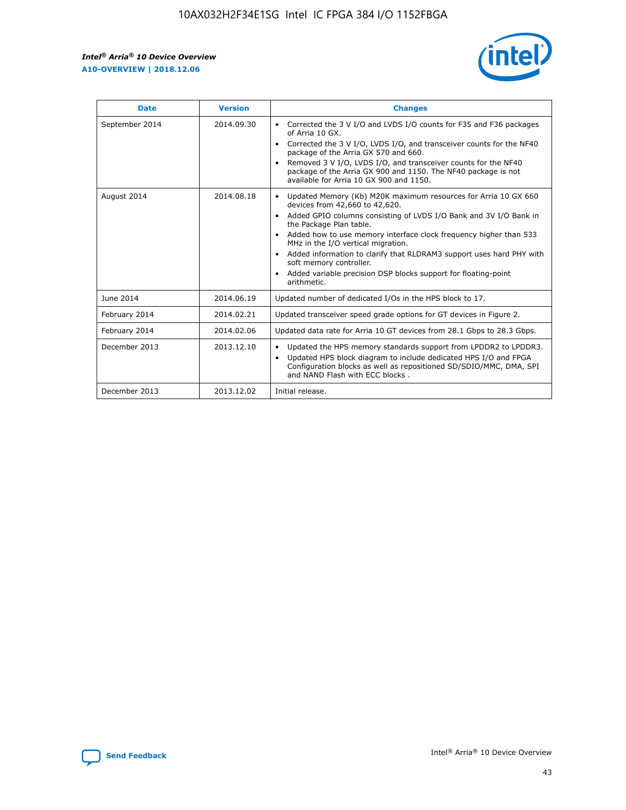r



| <b>Date</b>    | <b>Version</b> | <b>Changes</b>                                                                                                                                                                                                                                                                                                                                                                                                                                                                                                                         |
|----------------|----------------|----------------------------------------------------------------------------------------------------------------------------------------------------------------------------------------------------------------------------------------------------------------------------------------------------------------------------------------------------------------------------------------------------------------------------------------------------------------------------------------------------------------------------------------|
| September 2014 | 2014.09.30     | Corrected the 3 V I/O and LVDS I/O counts for F35 and F36 packages<br>of Arria 10 GX.<br>Corrected the 3 V I/O, LVDS I/O, and transceiver counts for the NF40<br>package of the Arria GX 570 and 660.<br>Removed 3 V I/O, LVDS I/O, and transceiver counts for the NF40<br>package of the Arria GX 900 and 1150. The NF40 package is not<br>available for Arria 10 GX 900 and 1150.                                                                                                                                                    |
| August 2014    | 2014.08.18     | Updated Memory (Kb) M20K maximum resources for Arria 10 GX 660<br>devices from 42,660 to 42,620.<br>Added GPIO columns consisting of LVDS I/O Bank and 3V I/O Bank in<br>$\bullet$<br>the Package Plan table.<br>Added how to use memory interface clock frequency higher than 533<br>$\bullet$<br>MHz in the I/O vertical migration.<br>Added information to clarify that RLDRAM3 support uses hard PHY with<br>$\bullet$<br>soft memory controller.<br>Added variable precision DSP blocks support for floating-point<br>arithmetic. |
| June 2014      | 2014.06.19     | Updated number of dedicated I/Os in the HPS block to 17.                                                                                                                                                                                                                                                                                                                                                                                                                                                                               |
| February 2014  | 2014.02.21     | Updated transceiver speed grade options for GT devices in Figure 2.                                                                                                                                                                                                                                                                                                                                                                                                                                                                    |
| February 2014  | 2014.02.06     | Updated data rate for Arria 10 GT devices from 28.1 Gbps to 28.3 Gbps.                                                                                                                                                                                                                                                                                                                                                                                                                                                                 |
| December 2013  | 2013.12.10     | Updated the HPS memory standards support from LPDDR2 to LPDDR3.<br>Updated HPS block diagram to include dedicated HPS I/O and FPGA<br>$\bullet$<br>Configuration blocks as well as repositioned SD/SDIO/MMC, DMA, SPI<br>and NAND Flash with ECC blocks.                                                                                                                                                                                                                                                                               |
| December 2013  | 2013.12.02     | Initial release.                                                                                                                                                                                                                                                                                                                                                                                                                                                                                                                       |